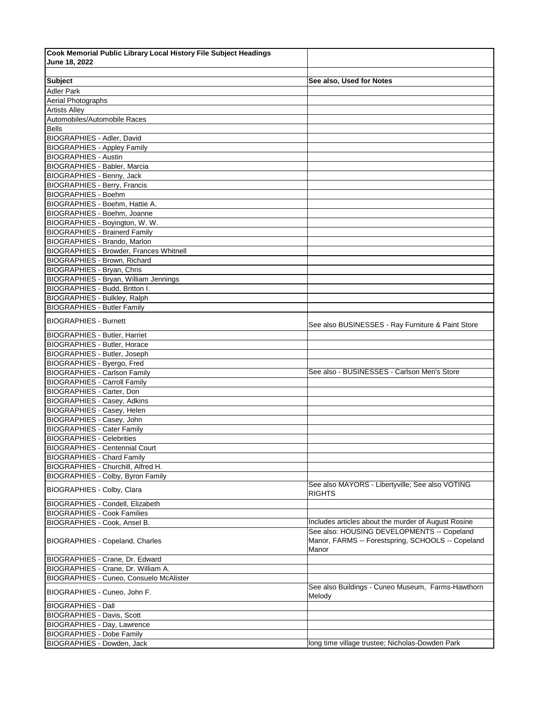| Cook Memorial Public Library Local History File Subject Headings        |                                                     |
|-------------------------------------------------------------------------|-----------------------------------------------------|
| June 18, 2022                                                           |                                                     |
|                                                                         |                                                     |
| <b>Subject</b>                                                          | See also, Used for Notes                            |
| <b>Adler Park</b>                                                       |                                                     |
| Aerial Photographs                                                      |                                                     |
| <b>Artists Alley</b>                                                    |                                                     |
| Automobiles/Automobile Races                                            |                                                     |
| <b>Bells</b>                                                            |                                                     |
| BIOGRAPHIES - Adler, David                                              |                                                     |
| <b>BIOGRAPHIES - Appley Family</b>                                      |                                                     |
| <b>BIOGRAPHIES - Austin</b>                                             |                                                     |
| <b>BIOGRAPHIES - Babler, Marcia</b>                                     |                                                     |
| <b>BIOGRAPHIES - Benny, Jack</b><br><b>BIOGRAPHIES - Berry, Francis</b> |                                                     |
| <b>BIOGRAPHIES - Boehm</b>                                              |                                                     |
| BIOGRAPHIES - Boehm, Hattie A.                                          |                                                     |
| BIOGRAPHIES - Boehm, Joanne                                             |                                                     |
| BIOGRAPHIES - Boyington, W. W.                                          |                                                     |
| <b>BIOGRAPHIES - Brainerd Family</b>                                    |                                                     |
| BIOGRAPHIES - Brando, Marlon                                            |                                                     |
| <b>BIOGRAPHIES - Browder, Frances Whitnell</b>                          |                                                     |
| <b>BIOGRAPHIES - Brown, Richard</b>                                     |                                                     |
| <b>BIOGRAPHIES - Bryan, Chris</b>                                       |                                                     |
| <b>BIOGRAPHIES - Bryan, William Jennings</b>                            |                                                     |
| BIOGRAPHIES - Budd, Britton I.                                          |                                                     |
| <b>BIOGRAPHIES - Bulkley, Ralph</b>                                     |                                                     |
| <b>BIOGRAPHIES - Butler Family</b>                                      |                                                     |
| <b>BIOGRAPHIES - Burnett</b>                                            |                                                     |
|                                                                         | See also BUSINESSES - Ray Furniture & Paint Store   |
| <b>BIOGRAPHIES</b> - Butler, Harriet                                    |                                                     |
| <b>BIOGRAPHIES - Butler, Horace</b>                                     |                                                     |
| <b>BIOGRAPHIES - Butler, Joseph</b>                                     |                                                     |
| BIOGRAPHIES - Byergo, Fred                                              |                                                     |
| <b>BIOGRAPHIES - Carlson Family</b>                                     | See also - BUSINESSES - Carlson Men's Store         |
| <b>BIOGRAPHIES - Carroll Family</b>                                     |                                                     |
| <b>BIOGRAPHIES - Carter, Don</b>                                        |                                                     |
| <b>BIOGRAPHIES - Casey, Adkins</b>                                      |                                                     |
| BIOGRAPHIES - Casey, Helen                                              |                                                     |
| BIOGRAPHIES - Casey, John<br><b>BIOGRAPHIES - Cater Family</b>          |                                                     |
| <b>BIOGRAPHIES - Celebrities</b>                                        |                                                     |
| <b>BIOGRAPHIES - Centennial Court</b>                                   |                                                     |
| <b>BIOGRAPHIES</b> - Chard Family                                       |                                                     |
| BIOGRAPHIES - Churchill, Alfred H.                                      |                                                     |
| BIOGRAPHIES - Colby, Byron Family                                       |                                                     |
|                                                                         | See also MAYORS - Libertyville; See also VOTING     |
| <b>BIOGRAPHIES - Colby, Clara</b>                                       | <b>RIGHTS</b>                                       |
| BIOGRAPHIES - Condell, Elizabeth                                        |                                                     |
| <b>BIOGRAPHIES - Cook Families</b>                                      |                                                     |
| BIOGRAPHIES - Cook, Ansel B.                                            | Includes articles about the murder of August Rosine |
|                                                                         | See also: HOUSING DEVELOPMENTS -- Copeland          |
| <b>BIOGRAPHIES - Copeland, Charles</b>                                  | Manor, FARMS -- Forestspring, SCHOOLS -- Copeland   |
|                                                                         | Manor                                               |
| BIOGRAPHIES - Crane, Dr. Edward                                         |                                                     |
| BIOGRAPHIES - Crane, Dr. William A.                                     |                                                     |
| BIOGRAPHIES - Cuneo, Consuelo McAlister                                 |                                                     |
| BIOGRAPHIES - Cuneo, John F.                                            | See also Buildings - Cuneo Museum, Farms-Hawthorn   |
|                                                                         | Melody                                              |
| <b>BIOGRAPHIES - Dall</b>                                               |                                                     |
| <b>BIOGRAPHIES - Davis, Scott</b>                                       |                                                     |
| BIOGRAPHIES - Day, Lawrence                                             |                                                     |
| <b>BIOGRAPHIES - Dobe Family</b><br>BIOGRAPHIES - Dowden, Jack          | long time village trustee; Nicholas-Dowden Park     |
|                                                                         |                                                     |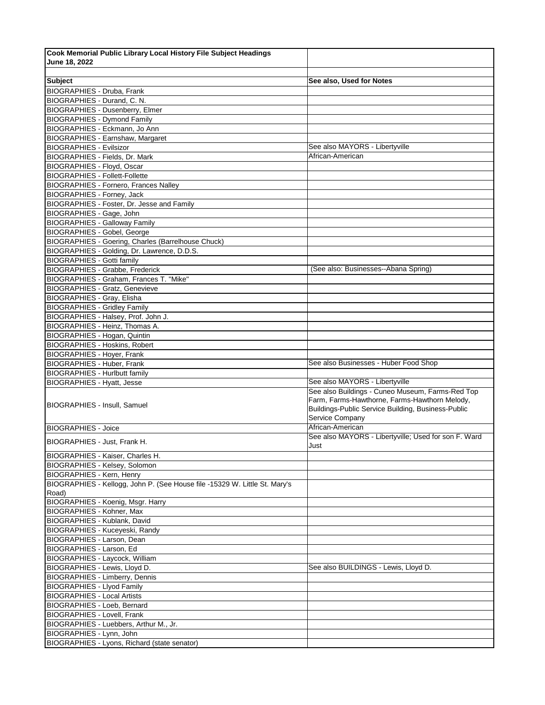| Cook Memorial Public Library Local History File Subject Headings           |                                                                                                                                                                            |
|----------------------------------------------------------------------------|----------------------------------------------------------------------------------------------------------------------------------------------------------------------------|
| June 18, 2022                                                              |                                                                                                                                                                            |
|                                                                            |                                                                                                                                                                            |
| <b>Subject</b>                                                             | See also, Used for Notes                                                                                                                                                   |
| <b>BIOGRAPHIES - Druba, Frank</b>                                          |                                                                                                                                                                            |
| BIOGRAPHIES - Durand, C. N.                                                |                                                                                                                                                                            |
| <b>BIOGRAPHIES - Dusenberry, Elmer</b>                                     |                                                                                                                                                                            |
| <b>BIOGRAPHIES - Dymond Family</b>                                         |                                                                                                                                                                            |
| BIOGRAPHIES - Eckmann, Jo Ann                                              |                                                                                                                                                                            |
| BIOGRAPHIES - Earnshaw, Margaret                                           |                                                                                                                                                                            |
| <b>BIOGRAPHIES - Evilsizor</b>                                             | See also MAYORS - Libertyville                                                                                                                                             |
| <b>BIOGRAPHIES - Fields, Dr. Mark</b>                                      | African-American                                                                                                                                                           |
| <b>BIOGRAPHIES - Floyd, Oscar</b>                                          |                                                                                                                                                                            |
| <b>BIOGRAPHIES - Follett-Follette</b>                                      |                                                                                                                                                                            |
| <b>BIOGRAPHIES - Fornero, Frances Nalley</b>                               |                                                                                                                                                                            |
| <b>BIOGRAPHIES</b> - Forney, Jack                                          |                                                                                                                                                                            |
| BIOGRAPHIES - Foster, Dr. Jesse and Family                                 |                                                                                                                                                                            |
| BIOGRAPHIES - Gage, John                                                   |                                                                                                                                                                            |
| <b>BIOGRAPHIES - Galloway Family</b>                                       |                                                                                                                                                                            |
| <b>BIOGRAPHIES - Gobel, George</b>                                         |                                                                                                                                                                            |
| <b>BIOGRAPHIES - Goering, Charles (Barrelhouse Chuck)</b>                  |                                                                                                                                                                            |
| BIOGRAPHIES - Golding, Dr. Lawrence, D.D.S.                                |                                                                                                                                                                            |
| <b>BIOGRAPHIES - Gotti family</b>                                          |                                                                                                                                                                            |
| <b>BIOGRAPHIES - Grabbe, Frederick</b>                                     | (See also: Businesses--Abana Spring)                                                                                                                                       |
| BIOGRAPHIES - Graham, Frances T. "Mike"                                    |                                                                                                                                                                            |
| <b>BIOGRAPHIES - Gratz, Genevieve</b>                                      |                                                                                                                                                                            |
| <b>BIOGRAPHIES - Gray, Elisha</b>                                          |                                                                                                                                                                            |
| <b>BIOGRAPHIES - Gridley Family</b>                                        |                                                                                                                                                                            |
| BIOGRAPHIES - Halsey, Prof. John J.                                        |                                                                                                                                                                            |
| BIOGRAPHIES - Heinz, Thomas A.                                             |                                                                                                                                                                            |
| BIOGRAPHIES - Hogan, Quintin                                               |                                                                                                                                                                            |
| <b>BIOGRAPHIES - Hoskins, Robert</b>                                       |                                                                                                                                                                            |
| <b>BIOGRAPHIES - Hoyer, Frank</b>                                          |                                                                                                                                                                            |
| <b>BIOGRAPHIES - Huber, Frank</b>                                          | See also Businesses - Huber Food Shop                                                                                                                                      |
| <b>BIOGRAPHIES - Hurlbutt family</b>                                       |                                                                                                                                                                            |
| <b>BIOGRAPHIES - Hyatt, Jesse</b>                                          | See also MAYORS - Libertyville                                                                                                                                             |
| <b>BIOGRAPHIES - Insull, Samuel</b>                                        | See also Buildings - Cuneo Museum, Farms-Red Top<br>Farm, Farms-Hawthorne, Farms-Hawthorn Melody,<br>Buildings-Public Service Building, Business-Public<br>Service Company |
| <b>BIOGRAPHIES - Joice</b>                                                 | African-American                                                                                                                                                           |
|                                                                            | See also MAYORS - Libertyville; Used for son F. Ward                                                                                                                       |
| BIOGRAPHIES - Just, Frank H.                                               | Just                                                                                                                                                                       |
| BIOGRAPHIES - Kaiser, Charles H.                                           |                                                                                                                                                                            |
| BIOGRAPHIES - Kelsey, Solomon                                              |                                                                                                                                                                            |
| <b>BIOGRAPHIES - Kern, Henry</b>                                           |                                                                                                                                                                            |
| BIOGRAPHIES - Kellogg, John P. (See House file -15329 W. Little St. Mary's |                                                                                                                                                                            |
| Road)                                                                      |                                                                                                                                                                            |
| BIOGRAPHIES - Koenig, Msgr. Harry                                          |                                                                                                                                                                            |
| <b>BIOGRAPHIES - Kohner, Max</b>                                           |                                                                                                                                                                            |
| <b>BIOGRAPHIES - Kublank, David</b>                                        |                                                                                                                                                                            |
| BIOGRAPHIES - Kuceyeski, Randy                                             |                                                                                                                                                                            |
| BIOGRAPHIES - Larson, Dean                                                 |                                                                                                                                                                            |
| BIOGRAPHIES - Larson, Ed                                                   |                                                                                                                                                                            |
| <b>BIOGRAPHIES - Laycock, William</b>                                      |                                                                                                                                                                            |
| BIOGRAPHIES - Lewis, Lloyd D.                                              | See also BUILDINGS - Lewis, Lloyd D.                                                                                                                                       |
| <b>BIOGRAPHIES - Limberry, Dennis</b>                                      |                                                                                                                                                                            |
| <b>BIOGRAPHIES - Llyod Family</b>                                          |                                                                                                                                                                            |
| <b>BIOGRAPHIES - Local Artists</b>                                         |                                                                                                                                                                            |
| BIOGRAPHIES - Loeb, Bernard                                                |                                                                                                                                                                            |
| <b>BIOGRAPHIES - Lovell, Frank</b>                                         |                                                                                                                                                                            |
| BIOGRAPHIES - Luebbers, Arthur M., Jr.                                     |                                                                                                                                                                            |
| BIOGRAPHIES - Lynn, John                                                   |                                                                                                                                                                            |
| BIOGRAPHIES - Lyons, Richard (state senator)                               |                                                                                                                                                                            |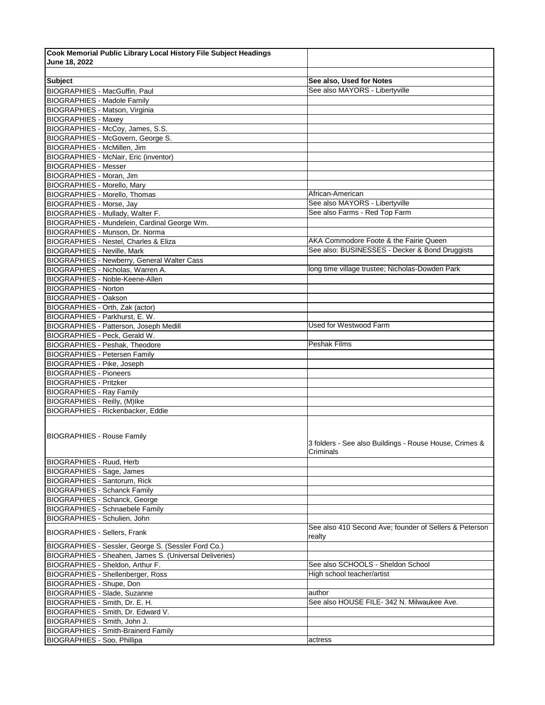| Cook Memorial Public Library Local History File Subject Headings |                                                                     |
|------------------------------------------------------------------|---------------------------------------------------------------------|
| June 18, 2022                                                    |                                                                     |
|                                                                  |                                                                     |
| <b>Subject</b>                                                   | See also, Used for Notes                                            |
| BIOGRAPHIES - MacGuffin, Paul                                    | See also MAYORS - Libertyville                                      |
| <b>BIOGRAPHIES - Madole Family</b>                               |                                                                     |
| BIOGRAPHIES - Matson, Virginia                                   |                                                                     |
| <b>BIOGRAPHIES - Maxey</b>                                       |                                                                     |
| BIOGRAPHIES - McCoy, James, S.S.                                 |                                                                     |
| BIOGRAPHIES - McGovern, George S.                                |                                                                     |
| BIOGRAPHIES - McMillen, Jim                                      |                                                                     |
| <b>BIOGRAPHIES - McNair, Eric (inventor)</b>                     |                                                                     |
| <b>BIOGRAPHIES - Messer</b>                                      |                                                                     |
| BIOGRAPHIES - Moran, Jim                                         |                                                                     |
| <b>BIOGRAPHIES - Morello, Mary</b>                               |                                                                     |
| <b>BIOGRAPHIES - Morello, Thomas</b>                             | African-American                                                    |
| <b>BIOGRAPHIES - Morse, Jay</b>                                  | See also MAYORS - Libertyville                                      |
| BIOGRAPHIES - Mullady, Walter F.                                 | See also Farms - Red Top Farm                                       |
| BIOGRAPHIES - Mundelein, Cardinal George Wm.                     |                                                                     |
| <b>BIOGRAPHIES - Munson, Dr. Norma</b>                           |                                                                     |
| <b>BIOGRAPHIES - Nestel, Charles &amp; Eliza</b>                 | AKA Commodore Foote & the Fairie Queen                              |
|                                                                  | See also: BUSINESSES - Decker & Bond Druggists                      |
| <b>BIOGRAPHIES - Neville, Mark</b>                               |                                                                     |
| <b>BIOGRAPHIES - Newberry, General Walter Cass</b>               |                                                                     |
| BIOGRAPHIES - Nicholas, Warren A.                                | long time village trustee; Nicholas-Dowden Park                     |
| BIOGRAPHIES - Noble-Keene-Allen                                  |                                                                     |
| <b>BIOGRAPHIES - Norton</b>                                      |                                                                     |
| <b>BIOGRAPHIES - Oakson</b>                                      |                                                                     |
| BIOGRAPHIES - Orth, Zak (actor)                                  |                                                                     |
| BIOGRAPHIES - Parkhurst, E. W.                                   |                                                                     |
| BIOGRAPHIES - Patterson, Joseph Medill                           | Used for Westwood Farm                                              |
| BIOGRAPHIES - Peck, Gerald W.                                    |                                                                     |
| <b>BIOGRAPHIES - Peshak, Theodore</b>                            | <b>Peshak Films</b>                                                 |
| <b>BIOGRAPHIES - Petersen Family</b>                             |                                                                     |
| BIOGRAPHIES - Pike, Joseph                                       |                                                                     |
| <b>BIOGRAPHIES - Pioneers</b>                                    |                                                                     |
| <b>BIOGRAPHIES - Pritzker</b>                                    |                                                                     |
| <b>BIOGRAPHIES - Ray Family</b>                                  |                                                                     |
| BIOGRAPHIES - Reilly, (M)Ike                                     |                                                                     |
| BIOGRAPHIES - Rickenbacker, Eddie                                |                                                                     |
| <b>BIOGRAPHIES - Rouse Family</b>                                | 3 folders - See also Buildings - Rouse House, Crimes &<br>Criminals |
| <b>BIOGRAPHIES - Ruud, Herb</b>                                  |                                                                     |
| <b>BIOGRAPHIES - Sage, James</b>                                 |                                                                     |
| <b>BIOGRAPHIES - Santorum, Rick</b>                              |                                                                     |
| <b>BIOGRAPHIES - Schanck Family</b>                              |                                                                     |
| <b>BIOGRAPHIES - Schanck, George</b>                             |                                                                     |
| <b>BIOGRAPHIES - Schnaebele Family</b>                           |                                                                     |
| <b>BIOGRAPHIES - Schulien, John</b>                              |                                                                     |
| <b>BIOGRAPHIES - Sellers, Frank</b>                              | See also 410 Second Ave; founder of Sellers & Peterson<br>realty    |
| BIOGRAPHIES - Sessler, George S. (Sessler Ford Co.)              |                                                                     |
| BIOGRAPHIES - Sheahen, James S. (Universal Deliveries)           |                                                                     |
| BIOGRAPHIES - Sheldon, Arthur F.                                 | See also SCHOOLS - Sheldon School                                   |
| <b>BIOGRAPHIES - Shellenberger, Ross</b>                         | High school teacher/artist                                          |
| <b>BIOGRAPHIES - Shupe, Don</b>                                  |                                                                     |
| BIOGRAPHIES - Slade, Suzanne                                     | author                                                              |
| BIOGRAPHIES - Smith, Dr. E. H.                                   | See also HOUSE FILE- 342 N. Milwaukee Ave.                          |
| BIOGRAPHIES - Smith, Dr. Edward V.                               |                                                                     |
| BIOGRAPHIES - Smith, John J.                                     |                                                                     |
| <b>BIOGRAPHIES - Smith-Brainerd Family</b>                       |                                                                     |
| BIOGRAPHIES - Soo, Phillipa                                      | actress                                                             |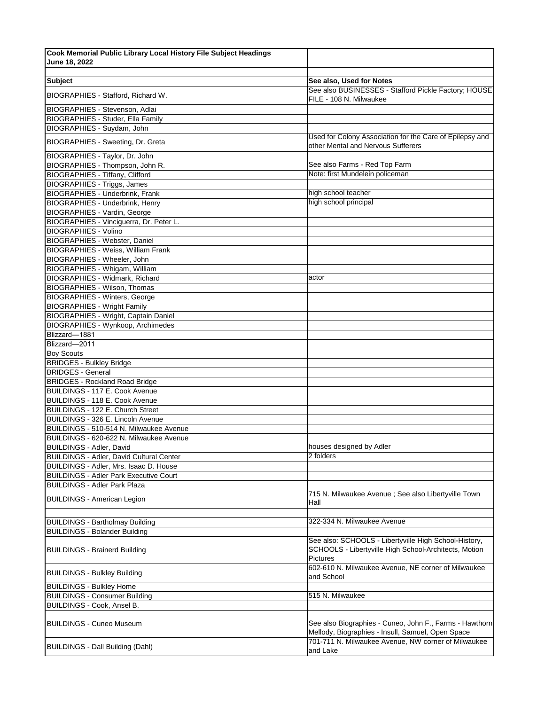| Cook Memorial Public Library Local History File Subject Headings |                                                                                                                                   |
|------------------------------------------------------------------|-----------------------------------------------------------------------------------------------------------------------------------|
| June 18, 2022                                                    |                                                                                                                                   |
|                                                                  |                                                                                                                                   |
| <b>Subject</b>                                                   | See also, Used for Notes                                                                                                          |
| BIOGRAPHIES - Stafford, Richard W.                               | See also BUSINESSES - Stafford Pickle Factory; HOUSE<br>FILE - 108 N. Milwaukee                                                   |
| BIOGRAPHIES - Stevenson, Adlai                                   |                                                                                                                                   |
| BIOGRAPHIES - Studer, Ella Family                                |                                                                                                                                   |
| BIOGRAPHIES - Suydam, John                                       |                                                                                                                                   |
|                                                                  | Used for Colony Association for the Care of Epilepsy and                                                                          |
| <b>BIOGRAPHIES - Sweeting, Dr. Greta</b>                         | other Mental and Nervous Sufferers                                                                                                |
| BIOGRAPHIES - Taylor, Dr. John                                   |                                                                                                                                   |
| BIOGRAPHIES - Thompson, John R.                                  | See also Farms - Red Top Farm<br>Note: first Mundelein policeman                                                                  |
| <b>BIOGRAPHIES - Tiffany, Clifford</b>                           |                                                                                                                                   |
| BIOGRAPHIES - Triggs, James                                      | high school teacher                                                                                                               |
| <b>BIOGRAPHIES - Underbrink, Frank</b>                           | high school principal                                                                                                             |
| BIOGRAPHIES - Underbrink, Henry                                  |                                                                                                                                   |
| <b>BIOGRAPHIES - Vardin, George</b>                              |                                                                                                                                   |
| BIOGRAPHIES - Vinciguerra, Dr. Peter L.                          |                                                                                                                                   |
| <b>BIOGRAPHIES - Volino</b>                                      |                                                                                                                                   |
| BIOGRAPHIES - Webster, Daniel                                    |                                                                                                                                   |
| <b>BIOGRAPHIES - Weiss, William Frank</b>                        |                                                                                                                                   |
| BIOGRAPHIES - Wheeler, John                                      |                                                                                                                                   |
| BIOGRAPHIES - Whigam, William                                    |                                                                                                                                   |
| <b>BIOGRAPHIES - Widmark, Richard</b>                            | actor                                                                                                                             |
| BIOGRAPHIES - Wilson, Thomas                                     |                                                                                                                                   |
| <b>BIOGRAPHIES - Winters, George</b>                             |                                                                                                                                   |
| <b>BIOGRAPHIES - Wright Family</b>                               |                                                                                                                                   |
| BIOGRAPHIES - Wright, Captain Daniel                             |                                                                                                                                   |
| BIOGRAPHIES - Wynkoop, Archimedes<br>Blizzard-1881               |                                                                                                                                   |
| Blizzard-2011                                                    |                                                                                                                                   |
| <b>Boy Scouts</b>                                                |                                                                                                                                   |
| <b>BRIDGES - Bulkley Bridge</b>                                  |                                                                                                                                   |
| <b>BRIDGES - General</b>                                         |                                                                                                                                   |
| <b>BRIDGES - Rockland Road Bridge</b>                            |                                                                                                                                   |
| BUILDINGS - 117 E. Cook Avenue                                   |                                                                                                                                   |
| BUILDINGS - 118 E. Cook Avenue                                   |                                                                                                                                   |
| BUILDINGS - 122 E. Church Street                                 |                                                                                                                                   |
| BUILDINGS - 326 E. Lincoln Avenue                                |                                                                                                                                   |
| BUILDINGS - 510-514 N. Milwaukee Avenue                          |                                                                                                                                   |
| BUILDINGS - 620-622 N. Milwaukee Avenue                          |                                                                                                                                   |
| <b>BUILDINGS - Adler, David</b>                                  | houses designed by Adler                                                                                                          |
| <b>BUILDINGS - Adler, David Cultural Center</b>                  | 2 folders                                                                                                                         |
| BUILDINGS - Adler, Mrs. Isaac D. House                           |                                                                                                                                   |
| <b>BUILDINGS - Adler Park Executive Court</b>                    |                                                                                                                                   |
| <b>BUILDINGS - Adler Park Plaza</b>                              |                                                                                                                                   |
| <b>BUILDINGS - American Legion</b>                               | 715 N. Milwaukee Avenue ; See also Libertyville Town<br>Hall                                                                      |
|                                                                  |                                                                                                                                   |
| <b>BUILDINGS - Bartholmay Building</b>                           | 322-334 N. Milwaukee Avenue                                                                                                       |
| <b>BUILDINGS - Bolander Building</b>                             |                                                                                                                                   |
| <b>BUILDINGS - Brainerd Building</b>                             | See also: SCHOOLS - Libertyville High School-History,<br>SCHOOLS - Libertyville High School-Architects, Motion<br><b>Pictures</b> |
| <b>BUILDINGS - Bulkley Building</b>                              | 602-610 N. Milwaukee Avenue, NE corner of Milwaukee<br>and School                                                                 |
| <b>BUILDINGS - Bulkley Home</b>                                  |                                                                                                                                   |
| <b>BUILDINGS - Consumer Building</b>                             | 515 N. Milwaukee                                                                                                                  |
| BUILDINGS - Cook, Ansel B.                                       |                                                                                                                                   |
| <b>BUILDINGS - Cuneo Museum</b>                                  | See also Biographies - Cuneo, John F., Farms - Hawthorn<br>Mellody, Biographies - Insull, Samuel, Open Space                      |
|                                                                  | 701-711 N. Milwaukee Avenue, NW corner of Milwaukee                                                                               |
| <b>BUILDINGS - Dall Building (Dahl)</b>                          | and Lake                                                                                                                          |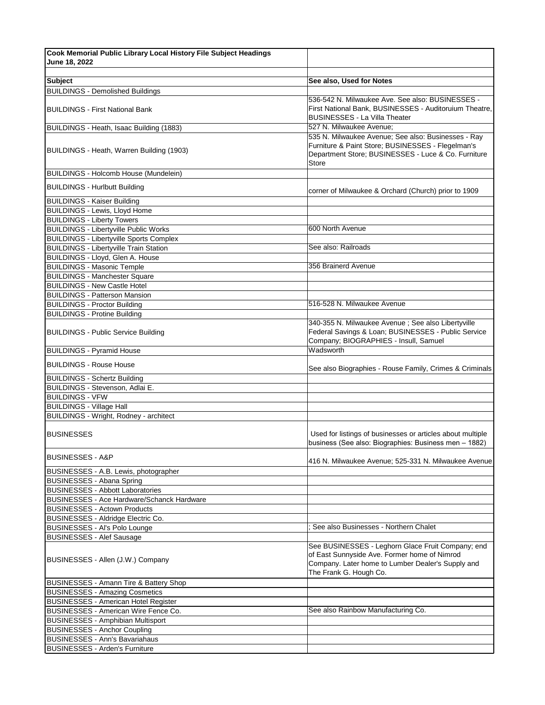| Cook Memorial Public Library Local History File Subject Headings                  |                                                                                                                                                                                  |
|-----------------------------------------------------------------------------------|----------------------------------------------------------------------------------------------------------------------------------------------------------------------------------|
| June 18, 2022                                                                     |                                                                                                                                                                                  |
|                                                                                   |                                                                                                                                                                                  |
| <b>Subject</b>                                                                    | See also, Used for Notes                                                                                                                                                         |
| <b>BUILDINGS - Demolished Buildings</b><br><b>BUILDINGS - First National Bank</b> | 536-542 N. Milwaukee Ave. See also: BUSINESSES -<br>First National Bank, BUSINESSES - Auditoruium Theatre,<br><b>BUSINESSES - La Villa Theater</b>                               |
| BUILDINGS - Heath, Isaac Building (1883)                                          | 527 N. Milwaukee Avenue;                                                                                                                                                         |
| BUILDINGS - Heath, Warren Building (1903)                                         | 535 N. Milwaukee Avenue; See also: Businesses - Ray<br>Furniture & Paint Store; BUSINESSES - Flegelman's<br>Department Store; BUSINESSES - Luce & Co. Furniture<br>Store         |
| <b>BUILDINGS - Holcomb House (Mundelein)</b>                                      |                                                                                                                                                                                  |
| <b>BUILDINGS - Hurlbutt Building</b>                                              | corner of Milwaukee & Orchard (Church) prior to 1909                                                                                                                             |
| <b>BUILDINGS - Kaiser Building</b>                                                |                                                                                                                                                                                  |
| <b>BUILDINGS - Lewis, Lloyd Home</b>                                              |                                                                                                                                                                                  |
| <b>BUILDINGS - Liberty Towers</b>                                                 |                                                                                                                                                                                  |
| <b>BUILDINGS - Libertyville Public Works</b>                                      | 600 North Avenue                                                                                                                                                                 |
| <b>BUILDINGS - Libertyville Sports Complex</b>                                    |                                                                                                                                                                                  |
| <b>BUILDINGS - Libertyville Train Station</b>                                     | See also: Railroads                                                                                                                                                              |
| BUILDINGS - Lloyd, Glen A. House                                                  |                                                                                                                                                                                  |
| <b>BUILDINGS - Masonic Temple</b>                                                 | 356 Brainerd Avenue                                                                                                                                                              |
| <b>BUILDINGS - Manchester Square</b>                                              |                                                                                                                                                                                  |
| <b>BUILDINGS - New Castle Hotel</b>                                               |                                                                                                                                                                                  |
| <b>BUILDINGS - Patterson Mansion</b>                                              |                                                                                                                                                                                  |
| <b>BUILDINGS - Proctor Building</b>                                               | 516-528 N. Milwaukee Avenue                                                                                                                                                      |
| <b>BUILDINGS - Protine Building</b>                                               |                                                                                                                                                                                  |
| <b>BUILDINGS - Public Service Building</b>                                        | 340-355 N. Milwaukee Avenue ; See also Libertyville<br>Federal Savings & Loan; BUSINESSES - Public Service<br>Company; BIOGRAPHIES - Insull, Samuel                              |
| <b>BUILDINGS - Pyramid House</b>                                                  | Wadsworth                                                                                                                                                                        |
| <b>BUILDINGS - Rouse House</b>                                                    | See also Biographies - Rouse Family, Crimes & Criminals                                                                                                                          |
| <b>BUILDINGS - Schertz Building</b>                                               |                                                                                                                                                                                  |
| BUILDINGS - Stevenson, Adlai E.                                                   |                                                                                                                                                                                  |
| <b>BUILDINGS - VFW</b>                                                            |                                                                                                                                                                                  |
| <b>BUILDINGS - Village Hall</b>                                                   |                                                                                                                                                                                  |
| BUILDINGS - Wright, Rodney - architect                                            |                                                                                                                                                                                  |
| <b>BUSINESSES</b>                                                                 | Used for listings of businesses or articles about multiple<br>business (See also: Biographies: Business men - 1882)                                                              |
| <b>BUSINESSES - A&amp;P</b>                                                       | 416 N. Milwaukee Avenue; 525-331 N. Milwaukee Avenue                                                                                                                             |
| BUSINESSES - A.B. Lewis, photographer                                             |                                                                                                                                                                                  |
| <b>BUSINESSES - Abana Spring</b>                                                  |                                                                                                                                                                                  |
| <b>BUSINESSES - Abbott Laboratories</b>                                           |                                                                                                                                                                                  |
| <b>BUSINESSES - Ace Hardware/Schanck Hardware</b>                                 |                                                                                                                                                                                  |
| <b>BUSINESSES - Actown Products</b>                                               |                                                                                                                                                                                  |
| BUSINESSES - Aldridge Electric Co.                                                |                                                                                                                                                                                  |
| BUSINESSES - Al's Polo Lounge                                                     | See also Businesses - Northern Chalet                                                                                                                                            |
| <b>BUSINESSES - Alef Sausage</b>                                                  |                                                                                                                                                                                  |
| BUSINESSES - Allen (J.W.) Company                                                 | See BUSINESSES - Leghorn Glace Fruit Company; end<br>of East Sunnyside Ave. Former home of Nimrod<br>Company. Later home to Lumber Dealer's Supply and<br>The Frank G. Hough Co. |
| BUSINESSES - Amann Tire & Battery Shop<br><b>BUSINESSES - Amazing Cosmetics</b>   |                                                                                                                                                                                  |
| <b>BUSINESSES - American Hotel Register</b>                                       |                                                                                                                                                                                  |
| BUSINESSES - American Wire Fence Co.                                              | See also Rainbow Manufacturing Co.                                                                                                                                               |
| <b>BUSINESSES - Amphibian Multisport</b>                                          |                                                                                                                                                                                  |
| <b>BUSINESSES - Anchor Coupling</b>                                               |                                                                                                                                                                                  |
| <b>BUSINESSES - Ann's Bavariahaus</b>                                             |                                                                                                                                                                                  |
| <b>BUSINESSES - Arden's Furniture</b>                                             |                                                                                                                                                                                  |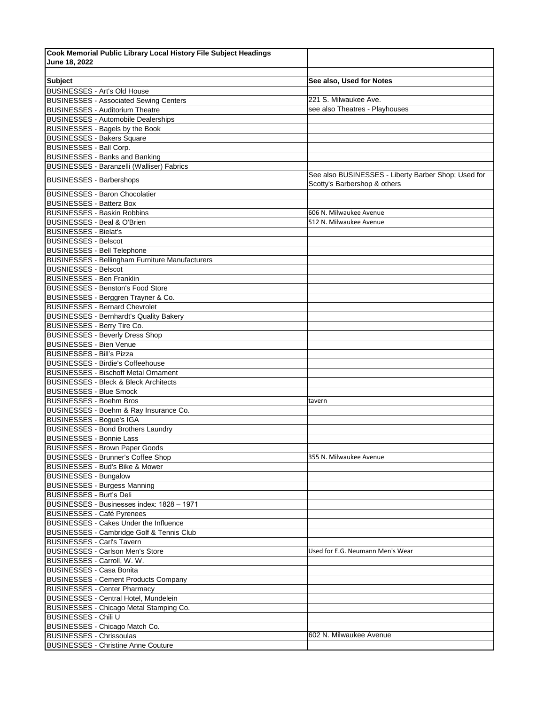| Cook Memorial Public Library Local History File Subject Headings |                                                                                     |
|------------------------------------------------------------------|-------------------------------------------------------------------------------------|
| June 18, 2022                                                    |                                                                                     |
|                                                                  |                                                                                     |
| <b>Subject</b>                                                   | See also, Used for Notes                                                            |
| <b>BUSINESSES - Art's Old House</b>                              |                                                                                     |
| <b>BUSINESSES - Associated Sewing Centers</b>                    | 221 S. Milwaukee Ave.                                                               |
| <b>BUSINESSES - Auditorium Theatre</b>                           | see also Theatres - Playhouses                                                      |
| <b>BUSINESSES - Automobile Dealerships</b>                       |                                                                                     |
| BUSINESSES - Bagels by the Book                                  |                                                                                     |
| <b>BUSINESSES - Bakers Square</b>                                |                                                                                     |
| <b>BUSINESSES - Ball Corp.</b>                                   |                                                                                     |
| <b>BUSINESSES - Banks and Banking</b>                            |                                                                                     |
| BUSINESSES - Baranzelli (Walliser) Fabrics                       |                                                                                     |
| <b>BUSINESSES - Barbershops</b>                                  | See also BUSINESSES - Liberty Barber Shop; Used for<br>Scotty's Barbershop & others |
| <b>BUSINESSES - Baron Chocolatier</b>                            |                                                                                     |
| <b>BUSINESSES - Batterz Box</b>                                  |                                                                                     |
| <b>BUSINESSES - Baskin Robbins</b>                               | 606 N. Milwaukee Avenue                                                             |
| <b>BUSINESSES - Beal &amp; O'Brien</b>                           | 512 N. Milwaukee Avenue                                                             |
| <b>BUSINESSES - Bielat's</b>                                     |                                                                                     |
| <b>BUSINESSES - Belscot</b>                                      |                                                                                     |
| <b>BUSINESSES - Bell Telephone</b>                               |                                                                                     |
| <b>BUSINESSES - Bellingham Furniture Manufacturers</b>           |                                                                                     |
| <b>BUSNIESSES - Belscot</b>                                      |                                                                                     |
| <b>BUSINESSES - Ben Franklin</b>                                 |                                                                                     |
| <b>BUSINESSES - Benston's Food Store</b>                         |                                                                                     |
| BUSINESSES - Berggren Trayner & Co.                              |                                                                                     |
| <b>BUSINESSES - Bernard Chevrolet</b>                            |                                                                                     |
| <b>BUSINESSES - Bernhardt's Quality Bakery</b>                   |                                                                                     |
| BUSINESSES - Berry Tire Co.                                      |                                                                                     |
| <b>BUSINESSES - Beverly Dress Shop</b>                           |                                                                                     |
| <b>BUSINESSES - Bien Venue</b>                                   |                                                                                     |
| <b>BUSINESSES - Bill's Pizza</b>                                 |                                                                                     |
| <b>BUSINESSES - Birdie's Coffeehouse</b>                         |                                                                                     |
| <b>BUSINESSES - Bischoff Metal Ornament</b>                      |                                                                                     |
| <b>BUSINESSES</b> - Bleck & Bleck Architects                     |                                                                                     |
| <b>BUSINESSES - Blue Smock</b>                                   |                                                                                     |
| <b>BUSINESSES - Boehm Bros</b>                                   | tavern                                                                              |
| BUSINESSES - Boehm & Ray Insurance Co.                           |                                                                                     |
| <b>BUSINESSES - Bogue's IGA</b>                                  |                                                                                     |
| <b>BUSINESSES - Bond Brothers Laundry</b>                        |                                                                                     |
| <b>BUSINESSES - Bonnie Lass</b>                                  |                                                                                     |
| <b>BUSINESSES - Brown Paper Goods</b>                            |                                                                                     |
| <b>BUSINESSES - Brunner's Coffee Shop</b>                        | 355 N. Milwaukee Avenue                                                             |
| <b>BUSINESSES - Bud's Bike &amp; Mower</b>                       |                                                                                     |
| <b>BUSINESSES - Bungalow</b>                                     |                                                                                     |
| <b>BUSINESSES - Burgess Manning</b>                              |                                                                                     |
| <b>BUSINESSES - Burt's Deli</b>                                  |                                                                                     |
| BUSINESSES - Businesses index: 1828 - 1971                       |                                                                                     |
| <b>BUSINESSES - Café Pyrenees</b>                                |                                                                                     |
| BUSINESSES - Cakes Under the Influence                           |                                                                                     |
| BUSINESSES - Cambridge Golf & Tennis Club                        |                                                                                     |
| <b>BUSINESSES - Carl's Tavern</b>                                |                                                                                     |
| <b>BUSINESSES - Carlson Men's Store</b>                          | Used for E.G. Neumann Men's Wear                                                    |
| BUSINESSES - Carroll, W. W.                                      |                                                                                     |
| <b>BUSINESSES - Casa Bonita</b>                                  |                                                                                     |
| <b>BUSINESSES - Cement Products Company</b>                      |                                                                                     |
| <b>BUSINESSES - Center Pharmacy</b>                              |                                                                                     |
| BUSINESSES - Central Hotel, Mundelein                            |                                                                                     |
| BUSINESSES - Chicago Metal Stamping Co.                          |                                                                                     |
| BUSINESSES - Chili U                                             |                                                                                     |
| BUSINESSES - Chicago Match Co.                                   |                                                                                     |
| <b>BUSINESSES - Chrissoulas</b>                                  | 602 N. Milwaukee Avenue                                                             |
| <b>BUSINESSES - Christine Anne Couture</b>                       |                                                                                     |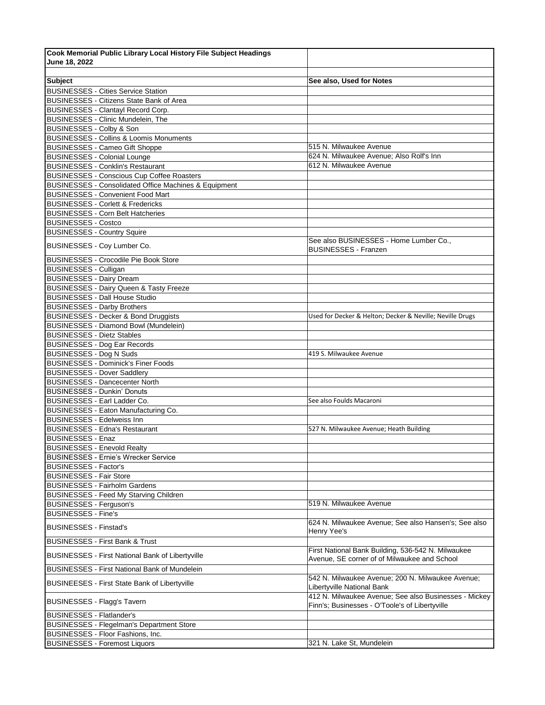| Cook Memorial Public Library Local History File Subject Headings                              |                                                                                     |
|-----------------------------------------------------------------------------------------------|-------------------------------------------------------------------------------------|
| June 18, 2022                                                                                 |                                                                                     |
|                                                                                               |                                                                                     |
| <b>Subject</b>                                                                                | See also, Used for Notes                                                            |
| <b>BUSINESSES - Cities Service Station</b><br><b>BUSINESSES - Citizens State Bank of Area</b> |                                                                                     |
| <b>BUSINESSES - Clantayl Record Corp.</b>                                                     |                                                                                     |
| <b>BUSINESSES - Clinic Mundelein, The</b>                                                     |                                                                                     |
| BUSINESSES - Colby & Son                                                                      |                                                                                     |
| <b>BUSINESSES - Collins &amp; Loomis Monuments</b>                                            |                                                                                     |
| <b>BUSINESSES - Cameo Gift Shoppe</b>                                                         | 515 N. Milwaukee Avenue                                                             |
| <b>BUSINESSES - Colonial Lounge</b>                                                           | 624 N. Milwaukee Avenue; Also Rolf's Inn                                            |
| <b>BUSINESSES - Conklin's Restaurant</b>                                                      | 612 N. Milwaukee Avenue                                                             |
| <b>BUSINESSES - Conscious Cup Coffee Roasters</b>                                             |                                                                                     |
| BUSINESSES - Consolidated Office Machines & Equipment                                         |                                                                                     |
| <b>BUSINESSES - Convenient Food Mart</b>                                                      |                                                                                     |
| <b>BUSINESSES - Corlett &amp; Fredericks</b>                                                  |                                                                                     |
| <b>BUSINESSES - Corn Belt Hatcheries</b>                                                      |                                                                                     |
| <b>BUSINESSES - Costco</b>                                                                    |                                                                                     |
| <b>BUSINESSES - Country Squire</b>                                                            |                                                                                     |
| BUSINESSES - Coy Lumber Co.                                                                   | See also BUSINESSES - Home Lumber Co.,<br><b>BUSINESSES - Franzen</b>               |
| <b>BUSINESSES - Crocodile Pie Book Store</b>                                                  |                                                                                     |
| <b>BUSINESSES - Culligan</b>                                                                  |                                                                                     |
| <b>BUSINESSES - Dairy Dream</b>                                                               |                                                                                     |
| BUSINESSES - Dairy Queen & Tasty Freeze                                                       |                                                                                     |
| <b>BUSINESSES - Dall House Studio</b>                                                         |                                                                                     |
| <b>BUSINESSES - Darby Brothers</b>                                                            |                                                                                     |
| BUSINESSES - Decker & Bond Druggists                                                          | Used for Decker & Helton; Decker & Neville; Neville Drugs                           |
| BUSINESSES - Diamond Bowl (Mundelein)<br><b>BUSINESSES - Dietz Stables</b>                    |                                                                                     |
| <b>BUSINESSES - Dog Ear Records</b>                                                           |                                                                                     |
| <b>BUSINESSES - Dog N Suds</b>                                                                | 419 S. Milwaukee Avenue                                                             |
| <b>BUSINESSES - Dominick's Finer Foods</b>                                                    |                                                                                     |
| <b>BUSINESSES - Dover Saddlery</b>                                                            |                                                                                     |
| <b>BUSINESSES - Dancecenter North</b>                                                         |                                                                                     |
| <b>BUSINESSES - Dunkin' Donuts</b>                                                            |                                                                                     |
| BUSINESSES - Earl Ladder Co.                                                                  | See also Foulds Macaroni                                                            |
| BUSINESSES - Eaton Manufacturing Co.                                                          |                                                                                     |
| <b>BUSINESSES - Edelweiss Inn</b>                                                             |                                                                                     |
| <b>BUSINESSES - Edna's Restaurant</b>                                                         | 527 N. Milwaukee Avenue; Heath Building                                             |
| <b>BUSINESSES - Enaz</b>                                                                      |                                                                                     |
| <b>BUSINESSES - Enevold Realty</b>                                                            |                                                                                     |
| <b>BUSINESSES - Ernie's Wrecker Service</b>                                                   |                                                                                     |
| <b>BUSINESSES - Factor's</b>                                                                  |                                                                                     |
| <b>BUSINESSES - Fair Store</b><br><b>BUSINESSES - Fairholm Gardens</b>                        |                                                                                     |
| <b>BUSINESSES - Feed My Starving Children</b>                                                 |                                                                                     |
| <b>BUSINESSES - Ferguson's</b>                                                                | 519 N. Milwaukee Avenue                                                             |
| <b>BUSINESSES - Fine's</b>                                                                    |                                                                                     |
| <b>BUSINESSES - Finstad's</b>                                                                 | 624 N. Milwaukee Avenue; See also Hansen's; See also<br>Henry Yee's                 |
| <b>BUSINESSES - First Bank &amp; Trust</b>                                                    |                                                                                     |
| <b>BUSINESSES - First National Bank of Libertyville</b>                                       | First National Bank Building, 536-542 N. Milwaukee                                  |
| <b>BUSINESSES - First National Bank of Mundelein</b>                                          | Avenue, SE corner of of Milwaukee and School                                        |
|                                                                                               | 542 N. Milwaukee Avenue; 200 N. Milwaukee Avenue;                                   |
| <b>BUSINEESES - First State Bank of Libertyville</b>                                          | Libertyville National Bank<br>412 N. Milwaukee Avenue; See also Businesses - Mickey |
| <b>BUSINESSES - Flagg's Tavern</b>                                                            | Finn's; Businesses - O'Toole's of Libertyville                                      |
| <b>BUSINESSES - Flatlander's</b>                                                              |                                                                                     |
| <b>BUSINESSES - Flegelman's Department Store</b>                                              |                                                                                     |
| BUSINESSES - Floor Fashions, Inc.                                                             | 321 N. Lake St, Mundelein                                                           |
| <b>BUSINESSES - Foremost Liquors</b>                                                          |                                                                                     |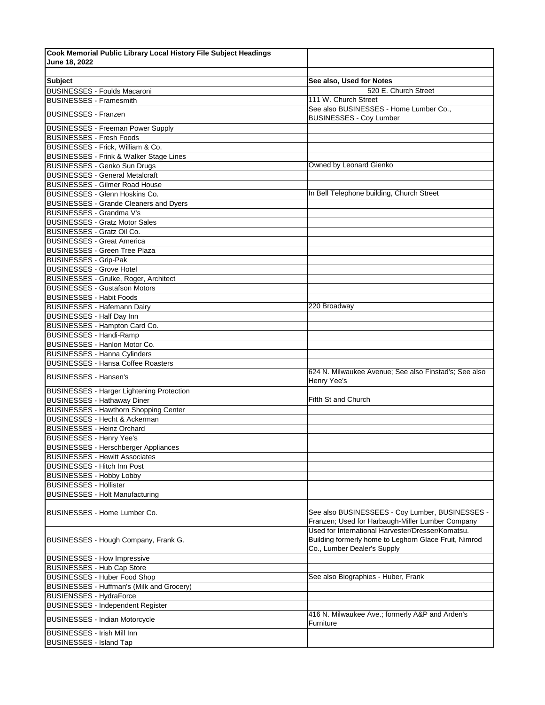| Cook Memorial Public Library Local History File Subject Headings |                                                                                                                                           |
|------------------------------------------------------------------|-------------------------------------------------------------------------------------------------------------------------------------------|
| June 18, 2022                                                    |                                                                                                                                           |
|                                                                  |                                                                                                                                           |
| <b>Subject</b>                                                   | See also, Used for Notes                                                                                                                  |
| <b>BUSINESSES - Foulds Macaroni</b>                              | 520 E. Church Street                                                                                                                      |
| <b>BUSINESSES - Framesmith</b>                                   | 111 W. Church Street                                                                                                                      |
| <b>BUSINESSES - Franzen</b>                                      | See also BUSINESSES - Home Lumber Co.,<br><b>BUSINESSES - Coy Lumber</b>                                                                  |
| <b>BUSINESSES - Freeman Power Supply</b>                         |                                                                                                                                           |
| <b>BUSINESSES</b> - Fresh Foods                                  |                                                                                                                                           |
| BUSINESSES - Frick, William & Co.                                |                                                                                                                                           |
| BUSINESSES - Frink & Walker Stage Lines                          |                                                                                                                                           |
| BUSINESSES - Genko Sun Drugs                                     | Owned by Leonard Gienko                                                                                                                   |
| <b>BUSINESSES - General Metalcraft</b>                           |                                                                                                                                           |
| <b>BUSINESSES - Gilmer Road House</b>                            |                                                                                                                                           |
| <b>BUSINESSES - Glenn Hoskins Co.</b>                            | In Bell Telephone building, Church Street                                                                                                 |
| <b>BUSINESSES - Grande Cleaners and Dyers</b>                    |                                                                                                                                           |
| BUSINESSES - Grandma V's                                         |                                                                                                                                           |
| <b>BUSINESSES - Gratz Motor Sales</b>                            |                                                                                                                                           |
| <b>BUSINESSES - Gratz Oil Co.</b>                                |                                                                                                                                           |
| <b>BUSINESSES - Great America</b>                                |                                                                                                                                           |
| <b>BUSINESSES - Green Tree Plaza</b>                             |                                                                                                                                           |
| <b>BUSINESSES</b> - Grip-Pak                                     |                                                                                                                                           |
| <b>BUSINESSES - Grove Hotel</b>                                  |                                                                                                                                           |
| BUSINESSES - Grulke, Roger, Architect                            |                                                                                                                                           |
| <b>BUSINESSES - Gustafson Motors</b>                             |                                                                                                                                           |
| <b>BUSINESSES - Habit Foods</b>                                  |                                                                                                                                           |
| <b>BUSINESSES - Hafemann Dairy</b>                               | 220 Broadway                                                                                                                              |
| <b>BUSINESSES - Half Day Inn</b>                                 |                                                                                                                                           |
| BUSINESSES - Hampton Card Co.                                    |                                                                                                                                           |
| <b>BUSINESSES - Handi-Ramp</b>                                   |                                                                                                                                           |
| BUSINESSES - Hanlon Motor Co.                                    |                                                                                                                                           |
| <b>BUSINESSES - Hanna Cylinders</b>                              |                                                                                                                                           |
| <b>BUSINESSES - Hansa Coffee Roasters</b>                        |                                                                                                                                           |
| <b>BUSINESSES - Hansen's</b>                                     | 624 N. Milwaukee Avenue; See also Finstad's; See also<br>Henry Yee's                                                                      |
| <b>BUSINESSES - Harger Lightening Protection</b>                 |                                                                                                                                           |
| <b>BUSINESSES</b> - Hathaway Diner                               | Fifth St and Church                                                                                                                       |
| <b>BUSINESSES - Hawthorn Shopping Center</b>                     |                                                                                                                                           |
| <b>BUSINESSES - Hecht &amp; Ackerman</b>                         |                                                                                                                                           |
| <b>BUSINESSES - Heinz Orchard</b>                                |                                                                                                                                           |
| <b>BUSINESSES - Henry Yee's</b>                                  |                                                                                                                                           |
| <b>BUSINESSES - Herschberger Appliances</b>                      |                                                                                                                                           |
| <b>BUSINESSES - Hewitt Associates</b>                            |                                                                                                                                           |
| <b>BUSINESSES - Hitch Inn Post</b>                               |                                                                                                                                           |
| <b>BUSINESSES - Hobby Lobby</b>                                  |                                                                                                                                           |
| <b>BUSINESSES - Hollister</b>                                    |                                                                                                                                           |
| <b>BUSINESSES - Holt Manufacturing</b>                           |                                                                                                                                           |
| <b>BUSINESSES - Home Lumber Co.</b>                              | See also BUSINESSEES - Coy Lumber, BUSINESSES -<br>Franzen; Used for Harbaugh-Miller Lumber Company                                       |
| BUSINESSES - Hough Company, Frank G.                             | Used for International Harvester/Dresser/Komatsu.<br>Building formerly home to Leghorn Glace Fruit, Nimrod<br>Co., Lumber Dealer's Supply |
| <b>BUSINESSES - How Impressive</b>                               |                                                                                                                                           |
| <b>BUSINESSES - Hub Cap Store</b>                                |                                                                                                                                           |
| <b>BUSINESSES - Huber Food Shop</b>                              | See also Biographies - Huber, Frank                                                                                                       |
| BUSINESSES - Huffman's (Milk and Grocery)                        |                                                                                                                                           |
| <b>BUSIENSSES - HydraForce</b>                                   |                                                                                                                                           |
| <b>BUSINESSES - Independent Register</b>                         |                                                                                                                                           |
| <b>BUSINESSES - Indian Motorcycle</b>                            | 416 N. Milwaukee Ave.; formerly A&P and Arden's<br>Furniture                                                                              |
| <b>BUSINESSES - Irish Mill Inn</b>                               |                                                                                                                                           |
| <b>BUSINESSES - Island Tap</b>                                   |                                                                                                                                           |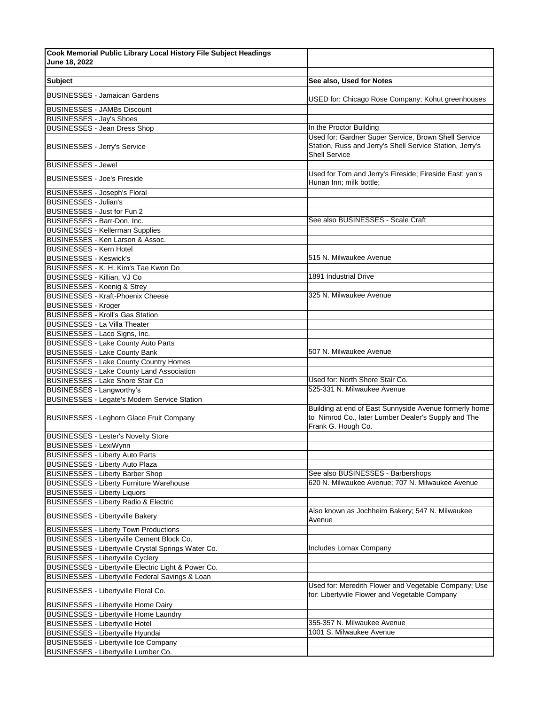| Cook Memorial Public Library Local History File Subject Headings |                                                                                                                                          |
|------------------------------------------------------------------|------------------------------------------------------------------------------------------------------------------------------------------|
| June 18, 2022                                                    |                                                                                                                                          |
|                                                                  |                                                                                                                                          |
| <b>Subject</b>                                                   | See also, Used for Notes                                                                                                                 |
| <b>BUSINESSES - Jamaican Gardens</b>                             | USED for: Chicago Rose Company; Kohut greenhouses                                                                                        |
| <b>BUSINESSES - JAMBs Discount</b>                               |                                                                                                                                          |
| <b>BUSINESSES - Jay's Shoes</b>                                  |                                                                                                                                          |
| <b>BUSINESSES - Jean Dress Shop</b>                              | In the Proctor Building                                                                                                                  |
| <b>BUSINESSES - Jerry's Service</b>                              | Used for: Gardner Super Service, Brown Shell Service<br>Station, Russ and Jerry's Shell Service Station, Jerry's<br><b>Shell Service</b> |
| <b>BUSINESSES - Jewel</b>                                        |                                                                                                                                          |
| <b>BUSINESSES - Joe's Fireside</b>                               | Used for Tom and Jerry's Fireside; Fireside East; yan's<br>Hunan Inn; milk bottle;                                                       |
| <b>BUSINESSES - Joseph's Floral</b>                              |                                                                                                                                          |
| <b>BUSINESSES - Julian's</b>                                     |                                                                                                                                          |
| BUSINESSES - Just for Fun 2                                      |                                                                                                                                          |
| BUSINESSES - Barr-Don, Inc.                                      | See also BUSINESSES - Scale Craft                                                                                                        |
| <b>BUSINESSES - Kellerman Supplies</b>                           |                                                                                                                                          |
| BUSINESSES - Ken Larson & Assoc.                                 |                                                                                                                                          |
| <b>BUSINESSES - Kern Hotel</b>                                   |                                                                                                                                          |
| <b>BUSINESSES - Keswick's</b>                                    | 515 N. Milwaukee Avenue                                                                                                                  |
| BUSINESSES - K. H. Kim's Tae Kwon Do                             |                                                                                                                                          |
| BUSINESSES - Killian, VJ Co                                      | 1891 Industrial Drive                                                                                                                    |
| <b>BUSINESSES - Koenig &amp; Strey</b>                           |                                                                                                                                          |
| <b>BUSINESSES - Kraft-Phoenix Cheese</b>                         | 325 N. Milwaukee Avenue                                                                                                                  |
| <b>BUSINESSES</b> - Kroger                                       |                                                                                                                                          |
| <b>BUSINESSES - Kroll's Gas Station</b>                          |                                                                                                                                          |
| <b>BUSINESSES - La Villa Theater</b>                             |                                                                                                                                          |
| BUSINESSES - Laco Signs, Inc.                                    |                                                                                                                                          |
| <b>BUSINESSES - Lake County Auto Parts</b>                       |                                                                                                                                          |
| <b>BUSINESSES - Lake County Bank</b>                             | 507 N. Milwaukee Avenue                                                                                                                  |
| <b>BUSINESSES - Lake County Country Homes</b>                    |                                                                                                                                          |
| <b>BUSINESSES - Lake County Land Association</b>                 |                                                                                                                                          |
| <b>BUSINESSES - Lake Shore Stair Co</b>                          | Used for: North Shore Stair Co.                                                                                                          |
| <b>BUSINESSES - Langworthy's</b>                                 | 525-331 N. Milwaukee Avenue                                                                                                              |
| <b>BUSINESSES - Legate's Modern Service Station</b>              |                                                                                                                                          |
| <b>BUSINESSES - Leghorn Glace Fruit Company</b>                  | Building at end of East Sunnyside Avenue formerly home<br>to Nimrod Co., later Lumber Dealer's Supply and The<br>Frank G. Hough Co.      |
| <b>BUSINESSES - Lester's Novelty Store</b>                       |                                                                                                                                          |
| <b>BUSINESSES - LexiWynn</b>                                     |                                                                                                                                          |
| <b>BUSINESSES - Liberty Auto Parts</b>                           |                                                                                                                                          |
| <b>BUSINESSES - Liberty Auto Plaza</b>                           |                                                                                                                                          |
| <b>BUSINESSES - Liberty Barber Shop</b>                          | See also BUSINESSES - Barbershops                                                                                                        |
| <b>BUSINESSES - Liberty Furniture Warehouse</b>                  | 620 N. Milwaukee Avenue; 707 N. Milwaukee Avenue                                                                                         |
| <b>BUSINESSES - Liberty Liquors</b>                              |                                                                                                                                          |
| BUSINESSES - Liberty Radio & Electric                            |                                                                                                                                          |
| <b>BUSINESSES - Libertyville Bakery</b>                          | Also known as Jochheim Bakery; 547 N. Milwaukee<br>Avenue                                                                                |
| <b>BUSINESSES - Liberty Town Productions</b>                     |                                                                                                                                          |
| BUSINESSES - Libertyville Cement Block Co.                       |                                                                                                                                          |
| BUSINESSES - Libertyville Crystal Springs Water Co.              | Includes Lomax Company                                                                                                                   |
| <b>BUSINESSES - Libertyville Cyclery</b>                         |                                                                                                                                          |
| BUSINESSES - Libertyville Electric Light & Power Co.             |                                                                                                                                          |
| BUSINESSES - Libertyville Federal Savings & Loan                 |                                                                                                                                          |
| BUSINESSES - Libertyville Floral Co.                             | Used for: Meredith Flower and Vegetable Company; Use<br>for: Libertyvile Flower and Vegetable Company                                    |
| <b>BUSINESSES - Libertyville Home Dairy</b>                      |                                                                                                                                          |
| <b>BUSINESSES - Libertyville Home Laundry</b>                    |                                                                                                                                          |
| <b>BUSINESSES - Libertyville Hotel</b>                           | 355-357 N. Milwaukee Avenue                                                                                                              |
| BUSINESSES - Libertyville Hyundai                                | 1001 S. Milwaukee Avenue                                                                                                                 |
| <b>BUSINESSES - Libertyville Ice Company</b>                     |                                                                                                                                          |
| BUSINESSES - Libertyville Lumber Co.                             |                                                                                                                                          |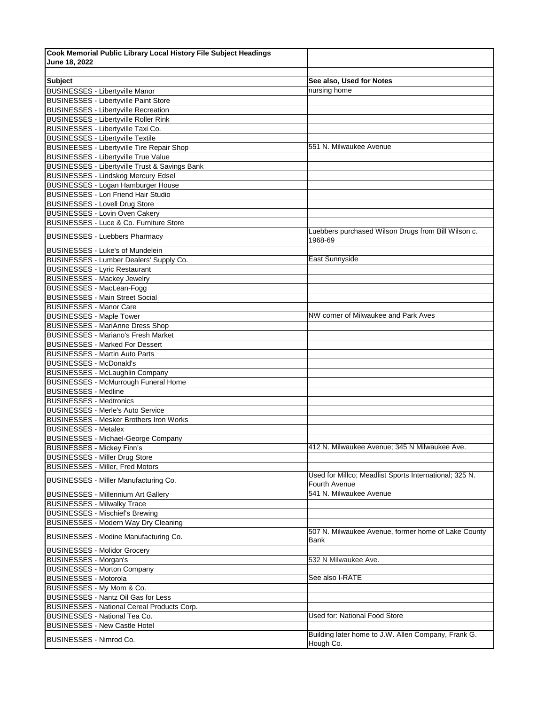| <b>Subject</b>                                                        | See also, Used for Notes                                                |
|-----------------------------------------------------------------------|-------------------------------------------------------------------------|
| <b>BUSINESSES - Libertyville Manor</b>                                | nursing home                                                            |
| <b>BUSINESSES - Libertyville Paint Store</b>                          |                                                                         |
| <b>BUSINESSES - Libertyville Recreation</b>                           |                                                                         |
| <b>BUSINESSES - Libertyville Roller Rink</b>                          |                                                                         |
| BUSINESSES - Libertyville Taxi Co.                                    |                                                                         |
| <b>BUSINESSES - Libertyville Textile</b>                              |                                                                         |
| <b>BUSINEESES - Libertyville Tire Repair Shop</b>                     | 551 N. Milwaukee Avenue                                                 |
| <b>BUSINESSES - Libertyville True Value</b>                           |                                                                         |
| <b>BUSINESSES - Libertyville Trust &amp; Savings Bank</b>             |                                                                         |
| <b>BUSINESSES - Lindskog Mercury Edsel</b>                            |                                                                         |
| BUSINESSES - Logan Hamburger House                                    |                                                                         |
| <b>BUSINESSES - Lori Friend Hair Studio</b>                           |                                                                         |
| <b>BUSINESSES - Lovell Drug Store</b>                                 |                                                                         |
| <b>BUSINESSES - Lovin Oven Cakery</b>                                 |                                                                         |
| BUSINESSES - Luce & Co. Furniture Store                               |                                                                         |
|                                                                       | Luebbers purchased Wilson Drugs from Bill Wilson c.                     |
| <b>BUSINESSES - Luebbers Pharmacy</b>                                 | 1968-69                                                                 |
| <b>BUSINESSES - Luke's of Mundelein</b>                               |                                                                         |
| BUSINESSES - Lumber Dealers' Supply Co.                               | East Sunnyside                                                          |
| <b>BUSINESSES - Lyric Restaurant</b>                                  |                                                                         |
| <b>BUSINESSES - Mackey Jewelry</b>                                    |                                                                         |
| BUSINESSES - MacLean-Fogg                                             |                                                                         |
| <b>BUSINESSES - Main Street Social</b>                                |                                                                         |
| <b>BUSINESSES - Manor Care</b>                                        |                                                                         |
| <b>BUSINESSES - Maple Tower</b>                                       | NW corner of Milwaukee and Park Aves                                    |
| <b>BUSINESSES - MariAnne Dress Shop</b>                               |                                                                         |
| <b>BUSINESSES - Mariano's Fresh Market</b>                            |                                                                         |
| <b>BUSINESSES - Marked For Dessert</b>                                |                                                                         |
| <b>BUSINESSES - Martin Auto Parts</b>                                 |                                                                         |
|                                                                       |                                                                         |
| <b>BUSINESSES - McDonald's</b>                                        |                                                                         |
| <b>BUSINESSES - McLaughlin Company</b>                                |                                                                         |
| <b>BUSINESSES - McMurrough Funeral Home</b>                           |                                                                         |
| <b>BUSINESSES - Medline</b>                                           |                                                                         |
| <b>BUSINESSES - Medtronics</b>                                        |                                                                         |
| <b>BUSINESSES - Merle's Auto Service</b>                              |                                                                         |
| <b>BUSINESSES - Mesker Brothers Iron Works</b>                        |                                                                         |
| <b>BUSINESSES</b> - Metalex                                           |                                                                         |
| <b>BUSINESSES - Michael-George Company</b>                            |                                                                         |
| <b>BUSINESSES - Mickey Finn's</b>                                     | 412 N. Milwaukee Avenue; 345 N Milwaukee Ave.                           |
| <b>BUSINESSES - Miller Drug Store</b>                                 |                                                                         |
| <b>BUSINESSES - Miller, Fred Motors</b>                               |                                                                         |
| BUSINESSES - Miller Manufacturing Co.                                 | Used for Millco; Meadlist Sports International; 325 N.<br>Fourth Avenue |
| <b>BUSINESSES - Millennium Art Gallery</b>                            | 541 N. Milwaukee Avenue                                                 |
| <b>BUSINESSES - Milwalky Trace</b>                                    |                                                                         |
| <b>BUSINESSES - Mischief's Brewing</b>                                |                                                                         |
| BUSINESSES - Modern Way Dry Cleaning                                  |                                                                         |
| BUSINESSES - Modine Manufacturing Co.                                 | 507 N. Milwaukee Avenue, former home of Lake County<br>Bank             |
| <b>BUSINESSES - Molidor Grocery</b>                                   |                                                                         |
| <b>BUSINESSES - Morgan's</b>                                          | 532 N Milwaukee Ave.                                                    |
| <b>BUSINESSES - Morton Company</b>                                    |                                                                         |
| <b>BUSINESSES - Motorola</b>                                          | See also I-RATE                                                         |
| BUSINESSES - My Mom & Co.                                             |                                                                         |
|                                                                       |                                                                         |
| BUSINESSES - Nantz Oil Gas for Less                                   |                                                                         |
| BUSINESSES - National Cereal Products Corp.                           | Used for: National Food Store                                           |
|                                                                       |                                                                         |
|                                                                       |                                                                         |
| BUSINESSES - National Tea Co.<br><b>BUSINESSES - New Castle Hotel</b> | Building later home to J.W. Allen Company, Frank G.                     |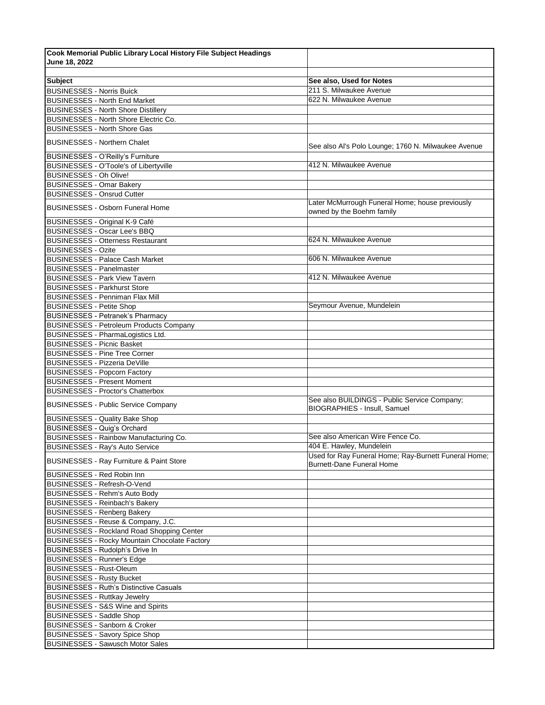| Cook Memorial Public Library Local History File Subject Headings                    |                                                      |
|-------------------------------------------------------------------------------------|------------------------------------------------------|
| June 18, 2022                                                                       |                                                      |
|                                                                                     |                                                      |
| <b>Subject</b>                                                                      | See also, Used for Notes                             |
| <b>BUSINESSES - Norris Buick</b>                                                    | 211 S. Milwaukee Avenue                              |
| <b>BUSINESSES - North End Market</b>                                                | 622 N. Milwaukee Avenue                              |
| <b>BUSINESSES - North Shore Distillery</b>                                          |                                                      |
| BUSINESSES - North Shore Electric Co.                                               |                                                      |
| <b>BUSINESSES - North Shore Gas</b>                                                 |                                                      |
| <b>BUSINESSES - Northern Chalet</b>                                                 | See also Al's Polo Lounge; 1760 N. Milwaukee Avenue  |
| <b>BUSINESSES - O'Reilly's Furniture</b>                                            |                                                      |
| BUSINESSES - O'Toole's of Libertyville                                              | 412 N. Milwaukee Avenue                              |
| BUSINESSES - Oh Olive!                                                              |                                                      |
| <b>BUSINESSES - Omar Bakery</b>                                                     |                                                      |
| <b>BUSINESSES - Onsrud Cutter</b>                                                   | Later McMurrough Funeral Home; house previously      |
| <b>BUSINESSES - Osborn Funeral Home</b>                                             | owned by the Boehm family                            |
| BUSINESSES - Original K-9 Café                                                      |                                                      |
| <b>BUSINESSES - Oscar Lee's BBQ</b>                                                 |                                                      |
| <b>BUSINESSES - Otterness Restaurant</b>                                            | 624 N. Milwaukee Avenue                              |
| <b>BUSINESSES - Ozite</b>                                                           | 606 N. Milwaukee Avenue                              |
| <b>BUSINESSES - Palace Cash Market</b><br><b>BUSINESSES - Panelmaster</b>           |                                                      |
|                                                                                     | 412 N. Milwaukee Avenue                              |
| <b>BUSINESSES - Park View Tavern</b><br><b>BUSINESSES - Parkhurst Store</b>         |                                                      |
| <b>BUSINESSES - Penniman Flax Mill</b>                                              |                                                      |
|                                                                                     | Seymour Avenue, Mundelein                            |
| <b>BUSINESSES - Petite Shop</b><br><b>BUSINESSES - Petranek's Pharmacy</b>          |                                                      |
| <b>BUSINESSES - Petroleum Products Company</b>                                      |                                                      |
| BUSINESSES - PharmaLogistics Ltd.                                                   |                                                      |
| <b>BUSINESSES - Picnic Basket</b>                                                   |                                                      |
| <b>BUSINESSES - Pine Tree Corner</b>                                                |                                                      |
| <b>BUSINESSES - Pizzeria DeVille</b>                                                |                                                      |
| <b>BUSINESSES - Popcorn Factory</b>                                                 |                                                      |
| <b>BUSINESSES - Present Moment</b>                                                  |                                                      |
| <b>BUSINESSES - Proctor's Chatterbox</b>                                            |                                                      |
|                                                                                     | See also BUILDINGS - Public Service Company;         |
| <b>BUSINESSES - Public Service Company</b><br><b>BUSINESSES - Quality Bake Shop</b> | <b>BIOGRAPHIES - Insull. Samuel</b>                  |
| <b>BUSINESSES - Quig's Orchard</b>                                                  |                                                      |
| BUSINESSES - Rainbow Manufacturing Co.                                              | See also American Wire Fence Co.                     |
| <b>BUSINESSES - Ray's Auto Service</b>                                              | 404 E. Hawley, Mundelein                             |
|                                                                                     | Used for Ray Funeral Home; Ray-Burnett Funeral Home; |
| <b>BUSINESSES - Ray Furniture &amp; Paint Store</b>                                 | <b>Burnett-Dane Funeral Home</b>                     |
| BUSINESSES - Red Robin Inn                                                          |                                                      |
| <b>BUSINESSES - Refresh-O-Vend</b>                                                  |                                                      |
| BUSINESSES - Rehm's Auto Body<br><b>BUSINESSES - Reinbach's Bakery</b>              |                                                      |
| <b>BUSINESSES - Renberg Bakery</b>                                                  |                                                      |
| BUSINESSES - Reuse & Company, J.C.                                                  |                                                      |
| <b>BUSINESSES - Rockland Road Shopping Center</b>                                   |                                                      |
| <b>BUSINESSES - Rocky Mountain Chocolate Factory</b>                                |                                                      |
| BUSINESSES - Rudolph's Drive In                                                     |                                                      |
| <b>BUSINESSES - Runner's Edge</b>                                                   |                                                      |
| <b>BUSINESSES - Rust-Oleum</b>                                                      |                                                      |
| <b>BUSINESSES - Rusty Bucket</b>                                                    |                                                      |
| <b>BUSINESSES - Ruth's Distinctive Casuals</b>                                      |                                                      |
| <b>BUSINESSES - Ruttkay Jewelry</b>                                                 |                                                      |
| <b>BUSINESSES - S&amp;S Wine and Spirits</b>                                        |                                                      |
| <b>BUSINESSES - Saddle Shop</b>                                                     |                                                      |
| <b>BUSINESSES - Sanborn &amp; Croker</b>                                            |                                                      |
| <b>BUSINESSES - Savory Spice Shop</b>                                               |                                                      |
| <b>BUSINESSES - Sawusch Motor Sales</b>                                             |                                                      |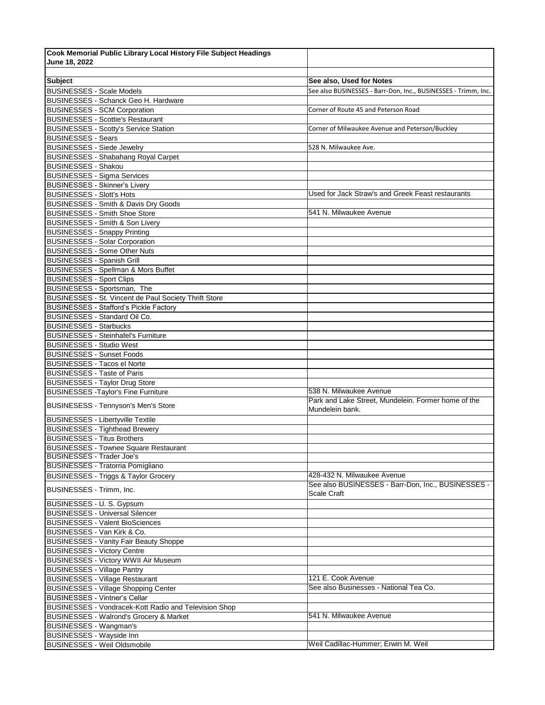| Cook Memorial Public Library Local History File Subject Headings                      |                                                                |
|---------------------------------------------------------------------------------------|----------------------------------------------------------------|
| June 18, 2022                                                                         |                                                                |
|                                                                                       |                                                                |
| <b>Subject</b>                                                                        | See also, Used for Notes                                       |
| <b>BUSINESSES - Scale Models</b>                                                      | See also BUSINESSES - Barr-Don, Inc., BUSINESSES - Trimm, Inc. |
| <b>BUSINESSES - Schanck Geo H. Hardware</b>                                           |                                                                |
| <b>BUSINESSES - SCM Corporation</b>                                                   | Corner of Route 45 and Peterson Road                           |
| <b>BUSINESSES - Scottie's Restaurant</b>                                              |                                                                |
| <b>BUSINESSES - Scotty's Service Station</b><br><b>BUSINESSES - Sears</b>             | Corner of Milwaukee Avenue and Peterson/Buckley                |
| <b>BUSINESSES - Siede Jewelry</b>                                                     | 528 N. Milwaukee Ave.                                          |
| <b>BUSINESSES - Shabahang Royal Carpet</b>                                            |                                                                |
| <b>BUSINESSES - Shakou</b>                                                            |                                                                |
| <b>BUSINESSES - Sigma Services</b>                                                    |                                                                |
| <b>BUSINESSES - Skinner's Livery</b>                                                  |                                                                |
| <b>BUSINESSES - Slott's Hots</b>                                                      | Used for Jack Straw's and Greek Feast restaurants              |
| BUSINESSES - Smith & Davis Dry Goods                                                  |                                                                |
| <b>BUSINESSES - Smith Shoe Store</b>                                                  | 541 N. Milwaukee Avenue                                        |
| <b>BUSINESSES - Smith &amp; Son Livery</b>                                            |                                                                |
| <b>BUSINESSES - Snappy Printing</b>                                                   |                                                                |
| <b>BUSINESSES - Solar Corporation</b>                                                 |                                                                |
| <b>BUSINESSES - Some Other Nuts</b>                                                   |                                                                |
| <b>BUSINESSES - Spanish Grill</b>                                                     |                                                                |
| <b>BUSINESSES - Spellman &amp; Mors Buffet</b>                                        |                                                                |
| <b>BUSINESSES - Sport Clips</b>                                                       |                                                                |
| BUSINESESS - Sportsman, The                                                           |                                                                |
| BUSINESSES - St. Vincent de Paul Society Thrift Store                                 |                                                                |
| <b>BUSINESSES - Stafford's Pickle Factory</b>                                         |                                                                |
| BUSINESSES - Standard Oil Co.                                                         |                                                                |
| <b>BUSINESSES - Starbucks</b>                                                         |                                                                |
| <b>BUSINESSES - Steinhafel's Furniture</b>                                            |                                                                |
| <b>BUSINESSES - Studio West</b>                                                       |                                                                |
| <b>BUSINESSES - Sunset Foods</b>                                                      |                                                                |
| <b>BUSINESSES</b> - Tacos el Norte<br><b>BUSINESSES - Taste of Paris</b>              |                                                                |
| <b>BUSINESSES - Taylor Drug Store</b>                                                 |                                                                |
| <b>BUSINESSES - Taylor's Fine Furniture</b>                                           | 538 N. Milwaukee Avenue                                        |
|                                                                                       | Park and Lake Street, Mundelein. Former home of the            |
| <b>BUSINESESS - Tennyson's Men's Store</b>                                            | Mundelein bank.                                                |
| <b>BUSINESSES - Libertyville Textile</b>                                              |                                                                |
| <b>BUSINESSES - Tighthead Brewery</b>                                                 |                                                                |
| <b>BUSINESSES - Titus Brothers</b>                                                    |                                                                |
| <b>BUSINESSES - Townee Square Restaurant</b><br><b>BUSINESSES</b> - Trader Joe's      |                                                                |
| <b>BUSINESSES - Tratorria Pomigliano</b>                                              |                                                                |
|                                                                                       | 428-432 N. Milwaukee Avenue                                    |
| <b>BUSINESSES - Triggs &amp; Taylor Grocery</b>                                       | See also BUSINESSES - Barr-Don, Inc., BUSINESSES -             |
| BUSINESSES - Trimm, Inc.                                                              | <b>Scale Craft</b>                                             |
| BUSINESSES - U. S. Gypsum                                                             |                                                                |
| <b>BUSINESSES - Universal Silencer</b>                                                |                                                                |
| <b>BUSINESSES - Valent BioSciences</b>                                                |                                                                |
| BUSINESSES - Van Kirk & Co.                                                           |                                                                |
| <b>BUSINESSES - Vanity Fair Beauty Shoppe</b>                                         |                                                                |
| <b>BUSINESSES - Victory Centre</b>                                                    |                                                                |
| BUSINESSES - Victory WWII Air Museum                                                  |                                                                |
| <b>BUSINESSES</b> - Village Pantry                                                    | 121 E. Cook Avenue                                             |
| <b>BUSINESSES - Village Restaurant</b><br><b>BUSINESSES - Village Shopping Center</b> | See also Businesses - National Tea Co.                         |
| <b>BUSINESSES - Vintner's Cellar</b>                                                  |                                                                |
| BUSINESSES - Vondracek-Kott Radio and Television Shop                                 |                                                                |
| <b>BUSINESSES - Walrond's Grocery &amp; Market</b>                                    | 541 N. Milwaukee Avenue                                        |
| <b>BUSINESSES - Wangman's</b>                                                         |                                                                |
| <b>BUSINESSES</b> - Wayside Inn                                                       |                                                                |
| <b>BUSINESSES - Weil Oldsmobile</b>                                                   | Weil Cadillac-Hummer; Erwin M. Weil                            |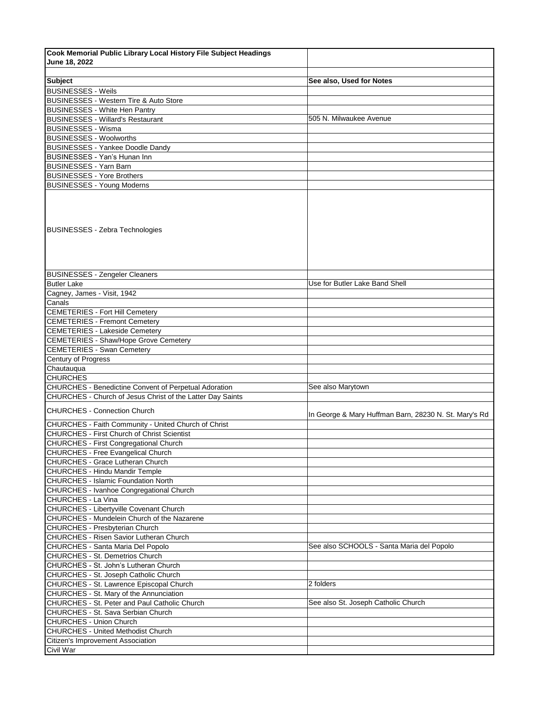| Cook Memorial Public Library Local History File Subject Headings |                                                       |
|------------------------------------------------------------------|-------------------------------------------------------|
| June 18, 2022                                                    |                                                       |
|                                                                  |                                                       |
| <b>Subject</b>                                                   | See also, Used for Notes                              |
| <b>BUSINESSES - Weils</b>                                        |                                                       |
| BUSINESSES - Western Tire & Auto Store                           |                                                       |
| <b>BUSINESSES</b> - White Hen Pantry                             |                                                       |
| <b>BUSINESSES - Willard's Restaurant</b>                         | 505 N. Milwaukee Avenue                               |
| <b>BUSINESSES - Wisma</b>                                        |                                                       |
| <b>BUSINESSES - Woolworths</b>                                   |                                                       |
| <b>BUSINESSES - Yankee Doodle Dandy</b>                          |                                                       |
| <b>BUSINESSES - Yan's Hunan Inn</b>                              |                                                       |
| <b>BUSINESSES - Yarn Barn</b>                                    |                                                       |
| <b>BUSINESSES - Yore Brothers</b>                                |                                                       |
| <b>BUSINESSES - Young Moderns</b>                                |                                                       |
| <b>BUSINESSES - Zebra Technologies</b>                           |                                                       |
| <b>BUSINESSES - Zengeler Cleaners</b>                            |                                                       |
| <b>Butler Lake</b>                                               | Use for Butler Lake Band Shell                        |
| Cagney, James - Visit, 1942                                      |                                                       |
| Canals                                                           |                                                       |
| <b>CEMETERIES - Fort Hill Cemetery</b>                           |                                                       |
| <b>CEMETERIES - Fremont Cemetery</b>                             |                                                       |
| <b>CEMETERIES - Lakeside Cemetery</b>                            |                                                       |
| <b>CEMETERIES - Shaw/Hope Grove Cemetery</b>                     |                                                       |
| <b>CEMETERIES - Swan Cemetery</b>                                |                                                       |
| Century of Progress                                              |                                                       |
| Chautauqua                                                       |                                                       |
| <b>CHURCHES</b>                                                  |                                                       |
| <b>CHURCHES - Benedictine Convent of Perpetual Adoration</b>     | See also Marytown                                     |
| CHURCHES - Church of Jesus Christ of the Latter Day Saints       |                                                       |
| <b>CHURCHES - Connection Church</b>                              | In George & Mary Huffman Barn, 28230 N. St. Mary's Rd |
| CHURCHES - Faith Community - United Church of Christ             |                                                       |
| <b>CHURCHES - First Church of Christ Scientist</b>               |                                                       |
| CHURCHES - First Congregational Church                           |                                                       |
| <b>CHURCHES - Free Evangelical Church</b>                        |                                                       |
| <b>CHURCHES - Grace Lutheran Church</b>                          |                                                       |
| CHURCHES - Hindu Mandir Temple                                   |                                                       |
| <b>CHURCHES - Islamic Foundation North</b>                       |                                                       |
| CHURCHES - Ivanhoe Congregational Church                         |                                                       |
| CHURCHES - La Vina                                               |                                                       |
| CHURCHES - Libertyville Covenant Church                          |                                                       |
| CHURCHES - Mundelein Church of the Nazarene                      |                                                       |
| CHURCHES - Presbyterian Church                                   |                                                       |
| CHURCHES - Risen Savior Lutheran Church                          |                                                       |
| CHURCHES - Santa Maria Del Popolo                                | See also SCHOOLS - Santa Maria del Popolo             |
| CHURCHES - St. Demetrios Church                                  |                                                       |
| CHURCHES - St. John's Lutheran Church                            |                                                       |
| CHURCHES - St. Joseph Catholic Church                            |                                                       |
| CHURCHES - St. Lawrence Episcopal Church                         | 2 folders                                             |
| CHURCHES - St. Mary of the Annunciation                          |                                                       |
| CHURCHES - St. Peter and Paul Catholic Church                    | See also St. Joseph Catholic Church                   |
| CHURCHES - St. Sava Serbian Church                               |                                                       |
| <b>CHURCHES - Union Church</b>                                   |                                                       |
| <b>CHURCHES - United Methodist Church</b>                        |                                                       |
| Citizen's Improvement Association                                |                                                       |
| Civil War                                                        |                                                       |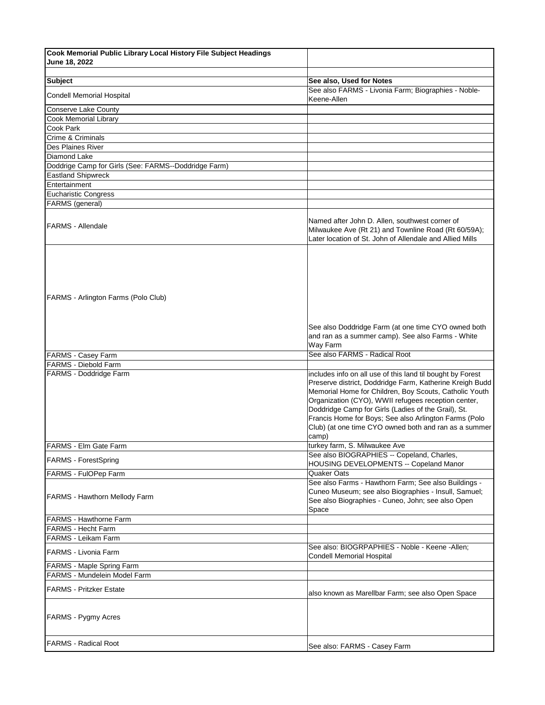| Cook Memorial Public Library Local History File Subject Headings |                                                                                                                                                                                                                                                                                                                                                                                                                           |
|------------------------------------------------------------------|---------------------------------------------------------------------------------------------------------------------------------------------------------------------------------------------------------------------------------------------------------------------------------------------------------------------------------------------------------------------------------------------------------------------------|
| June 18, 2022                                                    |                                                                                                                                                                                                                                                                                                                                                                                                                           |
|                                                                  |                                                                                                                                                                                                                                                                                                                                                                                                                           |
| <b>Subject</b>                                                   | See also, Used for Notes                                                                                                                                                                                                                                                                                                                                                                                                  |
| Condell Memorial Hospital                                        | See also FARMS - Livonia Farm; Biographies - Noble-<br>Keene-Allen                                                                                                                                                                                                                                                                                                                                                        |
| Conserve Lake County                                             |                                                                                                                                                                                                                                                                                                                                                                                                                           |
| Cook Memorial Library                                            |                                                                                                                                                                                                                                                                                                                                                                                                                           |
| Cook Park                                                        |                                                                                                                                                                                                                                                                                                                                                                                                                           |
| Crime & Criminals                                                |                                                                                                                                                                                                                                                                                                                                                                                                                           |
| <b>Des Plaines River</b>                                         |                                                                                                                                                                                                                                                                                                                                                                                                                           |
| Diamond Lake                                                     |                                                                                                                                                                                                                                                                                                                                                                                                                           |
| Doddrige Camp for Girls (See: FARMS--Doddridge Farm)             |                                                                                                                                                                                                                                                                                                                                                                                                                           |
| <b>Eastland Shipwreck</b>                                        |                                                                                                                                                                                                                                                                                                                                                                                                                           |
| Entertainment                                                    |                                                                                                                                                                                                                                                                                                                                                                                                                           |
| <b>Eucharistic Congress</b>                                      |                                                                                                                                                                                                                                                                                                                                                                                                                           |
| FARMS (general)                                                  |                                                                                                                                                                                                                                                                                                                                                                                                                           |
| <b>FARMS - Allendale</b>                                         | Named after John D. Allen, southwest corner of<br>Milwaukee Ave (Rt 21) and Townline Road (Rt 60/59A);<br>Later location of St. John of Allendale and Allied Mills                                                                                                                                                                                                                                                        |
|                                                                  |                                                                                                                                                                                                                                                                                                                                                                                                                           |
| FARMS - Arlington Farms (Polo Club)                              |                                                                                                                                                                                                                                                                                                                                                                                                                           |
|                                                                  | See also Doddridge Farm (at one time CYO owned both<br>and ran as a summer camp). See also Farms - White<br>Way Farm                                                                                                                                                                                                                                                                                                      |
| <b>FARMS - Casey Farm</b>                                        | See also FARMS - Radical Root                                                                                                                                                                                                                                                                                                                                                                                             |
| <b>FARMS - Diebold Farm</b><br>FARMS - Doddridge Farm            | includes info on all use of this land til bought by Forest<br>Preserve district, Doddridge Farm, Katherine Kreigh Budd<br>Memorial Home for Children, Boy Scouts, Catholic Youth<br>Organization (CYO), WWII refugees reception center,<br>Doddridge Camp for Girls (Ladies of the Grail), St.<br>Francis Home for Boys; See also Arlington Farms (Polo<br>Club) (at one time CYO owned both and ran as a summer<br>camp) |
| FARMS - Elm Gate Farm                                            | turkey farm, S. Milwaukee Ave                                                                                                                                                                                                                                                                                                                                                                                             |
| <b>FARMS - ForestSpring</b>                                      | See also BIOGRAPHIES -- Copeland, Charles,<br><b>HOUSING DEVELOPMENTS -- Copeland Manor</b>                                                                                                                                                                                                                                                                                                                               |
| FARMS - FulOPep Farm                                             | Quaker Oats                                                                                                                                                                                                                                                                                                                                                                                                               |
| FARMS - Hawthorn Mellody Farm                                    | See also Farms - Hawthorn Farm; See also Buildings -<br>Cuneo Museum; see also Biographies - Insull, Samuel;<br>See also Biographies - Cuneo, John; see also Open<br>Space                                                                                                                                                                                                                                                |
| <b>FARMS - Hawthorne Farm</b>                                    |                                                                                                                                                                                                                                                                                                                                                                                                                           |
| <b>FARMS - Hecht Farm</b>                                        |                                                                                                                                                                                                                                                                                                                                                                                                                           |
| FARMS - Leikam Farm                                              |                                                                                                                                                                                                                                                                                                                                                                                                                           |
| <b>FARMS - Livonia Farm</b>                                      | See also: BIOGRPAPHIES - Noble - Keene - Allen;<br>Condell Memorial Hospital                                                                                                                                                                                                                                                                                                                                              |
| <b>FARMS - Maple Spring Farm</b>                                 |                                                                                                                                                                                                                                                                                                                                                                                                                           |
| FARMS - Mundelein Model Farm                                     |                                                                                                                                                                                                                                                                                                                                                                                                                           |
| <b>FARMS - Pritzker Estate</b>                                   | also known as Marellbar Farm; see also Open Space                                                                                                                                                                                                                                                                                                                                                                         |
| <b>FARMS - Pygmy Acres</b>                                       |                                                                                                                                                                                                                                                                                                                                                                                                                           |
| <b>FARMS - Radical Root</b>                                      | See also: FARMS - Casey Farm                                                                                                                                                                                                                                                                                                                                                                                              |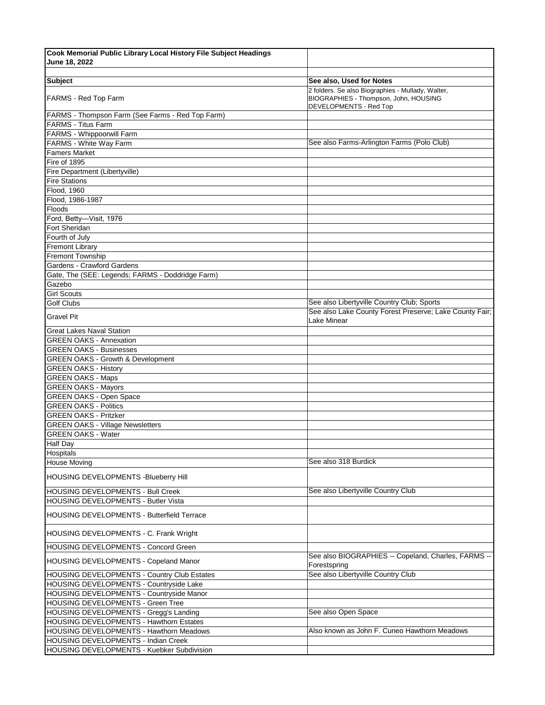| Cook Memorial Public Library Local History File Subject Headings |                                                                                                                      |
|------------------------------------------------------------------|----------------------------------------------------------------------------------------------------------------------|
| June 18, 2022                                                    |                                                                                                                      |
|                                                                  |                                                                                                                      |
| <b>Subject</b>                                                   | See also, Used for Notes                                                                                             |
| <b>FARMS - Red Top Farm</b>                                      | 2 folders. Se also Biographies - Mullady, Walter,<br>BIOGRAPHIES - Thompson, John, HOUSING<br>DEVELOPMENTS - Red Top |
| FARMS - Thompson Farm (See Farms - Red Top Farm)                 |                                                                                                                      |
| <b>FARMS - Titus Farm</b>                                        |                                                                                                                      |
| FARMS - Whippoorwill Farm                                        |                                                                                                                      |
| FARMS - White Way Farm                                           | See also Farms-Arlington Farms (Polo Club)                                                                           |
| <b>Famers Market</b>                                             |                                                                                                                      |
| Fire of 1895                                                     |                                                                                                                      |
| Fire Department (Libertyville)                                   |                                                                                                                      |
| <b>Fire Stations</b>                                             |                                                                                                                      |
| Flood, 1960                                                      |                                                                                                                      |
| Flood, 1986-1987                                                 |                                                                                                                      |
| Floods                                                           |                                                                                                                      |
| Ford, Betty-Visit, 1976                                          |                                                                                                                      |
| Fort Sheridan                                                    |                                                                                                                      |
| Fourth of July                                                   |                                                                                                                      |
| <b>Fremont Library</b>                                           |                                                                                                                      |
| <b>Fremont Township</b>                                          |                                                                                                                      |
| Gardens - Crawford Gardens                                       |                                                                                                                      |
|                                                                  |                                                                                                                      |
| Gate, The (SEE: Legends; FARMS - Doddridge Farm)                 |                                                                                                                      |
| Gazebo                                                           |                                                                                                                      |
| <b>Girl Scouts</b>                                               |                                                                                                                      |
| <b>Golf Clubs</b>                                                | See also Libertyville Country Club; Sports                                                                           |
| <b>Gravel Pit</b>                                                | See also Lake County Forest Preserve; Lake County Fair;<br>Lake Minear                                               |
| <b>Great Lakes Naval Station</b>                                 |                                                                                                                      |
| <b>GREEN OAKS - Annexation</b>                                   |                                                                                                                      |
| <b>GREEN OAKS - Businesses</b>                                   |                                                                                                                      |
| <b>GREEN OAKS - Growth &amp; Development</b>                     |                                                                                                                      |
| <b>GREEN OAKS - History</b>                                      |                                                                                                                      |
| <b>GREEN OAKS - Maps</b>                                         |                                                                                                                      |
| <b>GREEN OAKS - Mayors</b>                                       |                                                                                                                      |
| <b>GREEN OAKS - Open Space</b>                                   |                                                                                                                      |
| <b>GREEN OAKS - Politics</b>                                     |                                                                                                                      |
| <b>GREEN OAKS - Pritzker</b>                                     |                                                                                                                      |
| <b>GREEN OAKS - Village Newsletters</b>                          |                                                                                                                      |
| <b>GREEN OAKS - Water</b>                                        |                                                                                                                      |
| <b>Half Day</b>                                                  |                                                                                                                      |
| Hospitals                                                        |                                                                                                                      |
| <b>House Moving</b>                                              | See also 318 Burdick                                                                                                 |
| HOUSING DEVELOPMENTS - Blueberry Hill                            |                                                                                                                      |
| HOUSING DEVELOPMENTS - Bull Creek                                | See also Libertyville Country Club                                                                                   |
| HOUSING DEVELOPMENTS - Butler Vista                              |                                                                                                                      |
|                                                                  |                                                                                                                      |
| <b>HOUSING DEVELOPMENTS - Butterfield Terrace</b>                |                                                                                                                      |
| HOUSING DEVELOPMENTS - C. Frank Wright                           |                                                                                                                      |
| HOUSING DEVELOPMENTS - Concord Green                             |                                                                                                                      |
| HOUSING DEVELOPMENTS - Copeland Manor                            | See also BIOGRAPHIES -- Copeland, Charles, FARMS --<br>Forestspring                                                  |
| HOUSING DEVELOPMENTS - Country Club Estates                      | See also Libertyville Country Club                                                                                   |
| HOUSING DEVELOPMENTS - Countryside Lake                          |                                                                                                                      |
| HOUSING DEVELOPMENTS - Countryside Manor                         |                                                                                                                      |
| HOUSING DEVELOPMENTS - Green Tree                                |                                                                                                                      |
| HOUSING DEVELOPMENTS - Gregg's Landing                           | See also Open Space                                                                                                  |
| HOUSING DEVELOPMENTS - Hawthorn Estates                          |                                                                                                                      |
| HOUSING DEVELOPMENTS - Hawthorn Meadows                          | Also known as John F. Cuneo Hawthorn Meadows                                                                         |
| HOUSING DEVELOPMENTS - Indian Creek                              |                                                                                                                      |
| HOUSING DEVELOPMENTS - Kuebker Subdivision                       |                                                                                                                      |
|                                                                  |                                                                                                                      |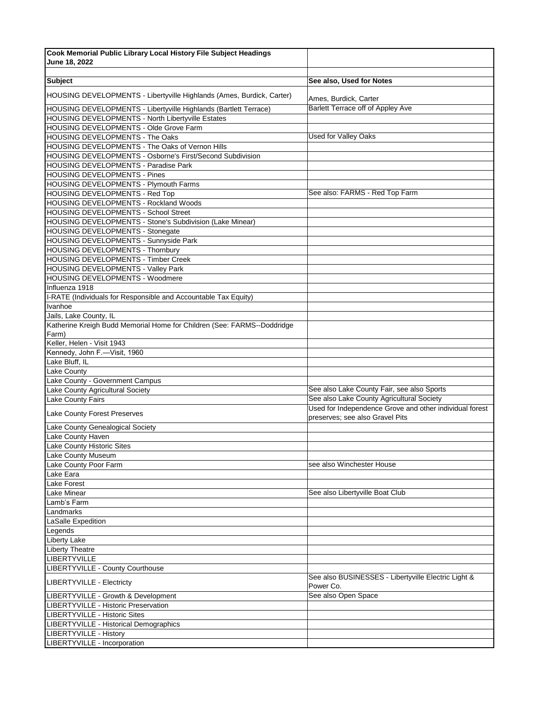| Cook Memorial Public Library Local History File Subject Headings                   |                                                                                            |
|------------------------------------------------------------------------------------|--------------------------------------------------------------------------------------------|
| June 18, 2022                                                                      |                                                                                            |
| <b>Subject</b>                                                                     | See also, Used for Notes                                                                   |
|                                                                                    |                                                                                            |
| HOUSING DEVELOPMENTS - Libertyville Highlands (Ames, Burdick, Carter)              | Ames, Burdick, Carter                                                                      |
| HOUSING DEVELOPMENTS - Libertyville Highlands (Bartlett Terrace)                   | <b>Barlett Terrace off of Appley Ave</b>                                                   |
| HOUSING DEVELOPMENTS - North Libertyville Estates                                  |                                                                                            |
| HOUSING DEVELOPMENTS - Olde Grove Farm                                             | Used for Valley Oaks                                                                       |
| HOUSING DEVELOPMENTS - The Oaks<br>HOUSING DEVELOPMENTS - The Oaks of Vernon Hills |                                                                                            |
| <b>HOUSING DEVELOPMENTS - Osborne's First/Second Subdivision</b>                   |                                                                                            |
| HOUSING DEVELOPMENTS - Paradise Park                                               |                                                                                            |
| <b>HOUSING DEVELOPMENTS - Pines</b>                                                |                                                                                            |
| <b>HOUSING DEVELOPMENTS - Plymouth Farms</b>                                       |                                                                                            |
| HOUSING DEVELOPMENTS - Red Top                                                     | See also: FARMS - Red Top Farm                                                             |
| HOUSING DEVELOPMENTS - Rockland Woods                                              |                                                                                            |
| <b>HOUSING DEVELOPMENTS - School Street</b>                                        |                                                                                            |
| HOUSING DEVELOPMENTS - Stone's Subdivision (Lake Minear)                           |                                                                                            |
| HOUSING DEVELOPMENTS - Stonegate                                                   |                                                                                            |
| HOUSING DEVELOPMENTS - Sunnyside Park                                              |                                                                                            |
| HOUSING DEVELOPMENTS - Thornbury                                                   |                                                                                            |
| HOUSING DEVELOPMENTS - Timber Creek                                                |                                                                                            |
| HOUSING DEVELOPMENTS - Valley Park                                                 |                                                                                            |
| HOUSING DEVELOPMENTS - Woodmere                                                    |                                                                                            |
| Influenza 1918                                                                     |                                                                                            |
| I-RATE (Individuals for Responsible and Accountable Tax Equity)                    |                                                                                            |
| Ivanhoe                                                                            |                                                                                            |
| Jails, Lake County, IL                                                             |                                                                                            |
| Katherine Kreigh Budd Memorial Home for Children (See: FARMS--Doddridge            |                                                                                            |
| Farm)                                                                              |                                                                                            |
| Keller, Helen - Visit 1943                                                         |                                                                                            |
| Kennedy, John F.-Visit, 1960                                                       |                                                                                            |
| Lake Bluff, IL                                                                     |                                                                                            |
| Lake County                                                                        |                                                                                            |
| Lake County - Government Campus                                                    |                                                                                            |
| Lake County Agricultural Society                                                   | See also Lake County Fair, see also Sports                                                 |
| Lake County Fairs                                                                  | See also Lake County Agricultural Society                                                  |
| Lake County Forest Preserves                                                       | Used for Independence Grove and other individual forest<br>preserves; see also Gravel Pits |
| Lake County Genealogical Society                                                   |                                                                                            |
| Lake County Haven                                                                  |                                                                                            |
| Lake County Historic Sites                                                         |                                                                                            |
| Lake County Museum                                                                 |                                                                                            |
| Lake County Poor Farm                                                              | see also Winchester House                                                                  |
| Lake Eara                                                                          |                                                                                            |
| Lake Forest                                                                        |                                                                                            |
| Lake Minear                                                                        | See also Libertyville Boat Club                                                            |
| Lamb's Farm                                                                        |                                                                                            |
| Landmarks                                                                          |                                                                                            |
| LaSalle Expedition                                                                 |                                                                                            |
| Legends                                                                            |                                                                                            |
| Liberty Lake                                                                       |                                                                                            |
| <b>Liberty Theatre</b><br>LIBERTYVILLE                                             |                                                                                            |
| LIBERTYVILLE - County Courthouse                                                   |                                                                                            |
| <b>LIBERTYVILLE - Electricty</b>                                                   | See also BUSINESSES - Libertyville Electric Light &                                        |
|                                                                                    | Power Co.<br>See also Open Space                                                           |
| LIBERTYVILLE - Growth & Development<br>LIBERTYVILLE - Historic Preservation        |                                                                                            |
| LIBERTYVILLE - Historic Sites                                                      |                                                                                            |
| LIBERTYVILLE - Historical Demographics                                             |                                                                                            |
| <b>LIBERTYVILLE - History</b>                                                      |                                                                                            |
| LIBERTYVILLE - Incorporation                                                       |                                                                                            |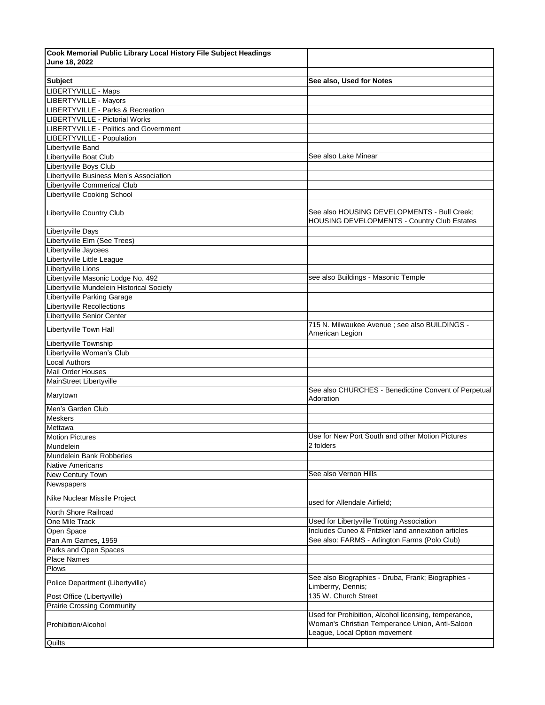| Cook Memorial Public Library Local History File Subject Headings |                                                                                                                                          |
|------------------------------------------------------------------|------------------------------------------------------------------------------------------------------------------------------------------|
| June 18, 2022                                                    |                                                                                                                                          |
|                                                                  |                                                                                                                                          |
| <b>Subject</b>                                                   | See also, Used for Notes                                                                                                                 |
| LIBERTYVILLE - Maps                                              |                                                                                                                                          |
| <b>LIBERTYVILLE - Mayors</b>                                     |                                                                                                                                          |
| LIBERTYVILLE - Parks & Recreation                                |                                                                                                                                          |
| LIBERTYVILLE - Pictorial Works                                   |                                                                                                                                          |
| LIBERTYVILLE - Politics and Government                           |                                                                                                                                          |
| LIBERTYVILLE - Population                                        |                                                                                                                                          |
| Libertyville Band                                                |                                                                                                                                          |
| Libertyville Boat Club                                           | See also Lake Minear                                                                                                                     |
| Libertyville Boys Club                                           |                                                                                                                                          |
| Libertyville Business Men's Association                          |                                                                                                                                          |
| Libertyville Commerical Club                                     |                                                                                                                                          |
| Libertyville Cooking School                                      |                                                                                                                                          |
| Libertyville Country Club                                        | See also HOUSING DEVELOPMENTS - Bull Creek;<br><b>HOUSING DEVELOPMENTS - Country Club Estates</b>                                        |
| Libertyville Days                                                |                                                                                                                                          |
| Libertyville Elm (See Trees)                                     |                                                                                                                                          |
| Libertyville Jaycees                                             |                                                                                                                                          |
| Libertyville Little League                                       |                                                                                                                                          |
| Libertyville Lions                                               |                                                                                                                                          |
| Libertyville Masonic Lodge No. 492                               | see also Buildings - Masonic Temple                                                                                                      |
| Libertyville Mundelein Historical Society                        |                                                                                                                                          |
| Libertyville Parking Garage                                      |                                                                                                                                          |
| <b>Libertyville Recollections</b>                                |                                                                                                                                          |
| Libertyville Senior Center                                       |                                                                                                                                          |
| Libertyville Town Hall                                           | 715 N. Milwaukee Avenue ; see also BUILDINGS -<br>American Legion                                                                        |
| Libertyville Township                                            |                                                                                                                                          |
| Libertyville Woman's Club                                        |                                                                                                                                          |
| <b>Local Authors</b>                                             |                                                                                                                                          |
| <b>Mail Order Houses</b>                                         |                                                                                                                                          |
| MainStreet Libertyville                                          |                                                                                                                                          |
| Marytown                                                         | See also CHURCHES - Benedictine Convent of Perpetual<br>Adoration                                                                        |
| Men's Garden Club                                                |                                                                                                                                          |
| Meskers                                                          |                                                                                                                                          |
| Mettawa                                                          |                                                                                                                                          |
| <b>Motion Pictures</b>                                           | Use for New Port South and other Motion Pictures                                                                                         |
| Mundelein                                                        | 2 folders                                                                                                                                |
| Mundelein Bank Robberies                                         |                                                                                                                                          |
| <b>Native Americans</b>                                          |                                                                                                                                          |
| <b>New Century Town</b>                                          | See also Vernon Hills                                                                                                                    |
| Newspapers                                                       |                                                                                                                                          |
| Nike Nuclear Missile Project                                     | used for Allendale Airfield;                                                                                                             |
| North Shore Railroad                                             |                                                                                                                                          |
| One Mile Track                                                   | Used for Libertyville Trotting Association<br>Includes Cuneo & Pritzker land annexation articles                                         |
| Open Space                                                       | See also: FARMS - Arlington Farms (Polo Club)                                                                                            |
| Pan Am Games, 1959                                               |                                                                                                                                          |
| Parks and Open Spaces                                            |                                                                                                                                          |
| <b>Place Names</b><br><b>Plows</b>                               |                                                                                                                                          |
|                                                                  |                                                                                                                                          |
|                                                                  |                                                                                                                                          |
| Police Department (Libertyville)                                 | See also Biographies - Druba, Frank; Biographies -<br>Limberrry, Dennis;                                                                 |
| Post Office (Libertyville)                                       | 135 W. Church Street                                                                                                                     |
| <b>Prairie Crossing Community</b>                                |                                                                                                                                          |
| Prohibition/Alcohol                                              | Used for Prohibition, Alcohol licensing, temperance,<br>Woman's Christian Temperance Union, Anti-Saloon<br>League, Local Option movement |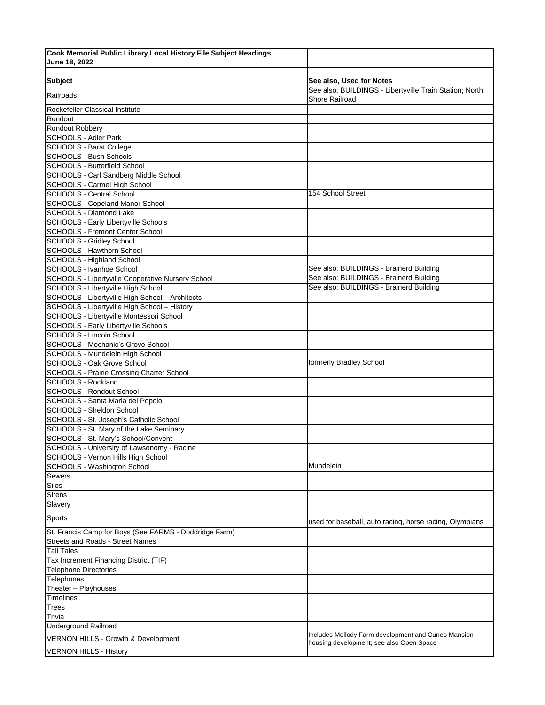| Cook Memorial Public Library Local History File Subject Headings                           |                                                                                                 |
|--------------------------------------------------------------------------------------------|-------------------------------------------------------------------------------------------------|
| June 18, 2022                                                                              |                                                                                                 |
|                                                                                            |                                                                                                 |
| <b>Subject</b>                                                                             | See also, Used for Notes                                                                        |
| Railroads                                                                                  | See also: BUILDINGS - Libertyville Train Station; North<br>Shore Railroad                       |
| Rockefeller Classical Institute                                                            |                                                                                                 |
| Rondout                                                                                    |                                                                                                 |
| Rondout Robbery                                                                            |                                                                                                 |
| <b>SCHOOLS - Adler Park</b>                                                                |                                                                                                 |
| SCHOOLS - Barat College                                                                    |                                                                                                 |
| <b>SCHOOLS - Bush Schools</b>                                                              |                                                                                                 |
| SCHOOLS - Butterfield School                                                               |                                                                                                 |
| SCHOOLS - Carl Sandberg Middle School                                                      |                                                                                                 |
| SCHOOLS - Carmel High School<br>SCHOOLS - Central School                                   | 154 School Street                                                                               |
| SCHOOLS - Copeland Manor School                                                            |                                                                                                 |
| SCHOOLS - Diamond Lake                                                                     |                                                                                                 |
| SCHOOLS - Early Libertyville Schools                                                       |                                                                                                 |
| <b>SCHOOLS - Fremont Center School</b>                                                     |                                                                                                 |
| <b>SCHOOLS - Gridley School</b>                                                            |                                                                                                 |
| SCHOOLS - Hawthorn School                                                                  |                                                                                                 |
| SCHOOLS - Highland School                                                                  |                                                                                                 |
| SCHOOLS - Ivanhoe School                                                                   | See also: BUILDINGS - Brainerd Building                                                         |
| SCHOOLS - Libertyville Cooperative Nursery School                                          | See also: BUILDINGS - Brainerd Building                                                         |
| SCHOOLS - Libertyville High School                                                         | See also: BUILDINGS - Brainerd Building                                                         |
| SCHOOLS - Libertyville High School - Architects                                            |                                                                                                 |
| SCHOOLS - Libertyville High School - History                                               |                                                                                                 |
| SCHOOLS - Libertyville Montessori School                                                   |                                                                                                 |
| <b>SCHOOLS - Early Libertyville Schools</b>                                                |                                                                                                 |
| SCHOOLS - Lincoln School                                                                   |                                                                                                 |
| SCHOOLS - Mechanic's Grove School                                                          |                                                                                                 |
| SCHOOLS - Mundelein High School                                                            |                                                                                                 |
| SCHOOLS - Oak Grove School                                                                 | formerly Bradley School                                                                         |
| SCHOOLS - Prairie Crossing Charter School                                                  |                                                                                                 |
| SCHOOLS - Rockland                                                                         |                                                                                                 |
| <b>SCHOOLS - Rondout School</b>                                                            |                                                                                                 |
| SCHOOLS - Santa Maria del Popolo                                                           |                                                                                                 |
| SCHOOLS - Sheldon School                                                                   |                                                                                                 |
| SCHOOLS - St. Joseph's Catholic School                                                     |                                                                                                 |
| SCHOOLS - St. Mary of the Lake Seminary                                                    |                                                                                                 |
| SCHOOLS - St. Mary's School/Convent<br>SCHOOLS - University of Lawsonomy - Racine          |                                                                                                 |
| SCHOOLS - Vernon Hills High School                                                         |                                                                                                 |
| SCHOOLS - Washington School                                                                | Mundelein                                                                                       |
| Sewers                                                                                     |                                                                                                 |
| Silos                                                                                      |                                                                                                 |
| Sirens                                                                                     |                                                                                                 |
| Slavery                                                                                    |                                                                                                 |
| Sports                                                                                     |                                                                                                 |
|                                                                                            | used for baseball, auto racing, horse racing, Olympians                                         |
| St. Francis Camp for Boys (See FARMS - Doddridge Farm)<br>Streets and Roads - Street Names |                                                                                                 |
| <b>Tall Tales</b>                                                                          |                                                                                                 |
| Tax Increment Financing District (TIF)                                                     |                                                                                                 |
| <b>Telephone Directories</b>                                                               |                                                                                                 |
| Telephones                                                                                 |                                                                                                 |
| Theater - Playhouses                                                                       |                                                                                                 |
| Timelines                                                                                  |                                                                                                 |
| Trees                                                                                      |                                                                                                 |
| Trivia                                                                                     |                                                                                                 |
| <b>Underground Railroad</b>                                                                |                                                                                                 |
| VERNON HILLS - Growth & Development                                                        | Includes Mellody Farm development and Cuneo Mansion<br>housing development; see also Open Space |
| <b>VERNON HILLS - History</b>                                                              |                                                                                                 |